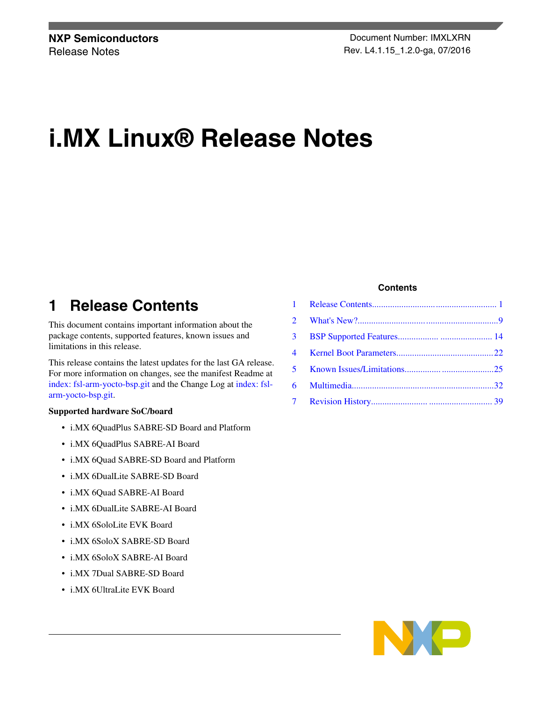# **i.MX Linux® Release Notes**

## **1 Release Contents**

This document contains important information about the package contents, supported features, known issues and limitations in this release.

This release contains the latest updates for the last GA release. For more information on changes, see the manifest Readme at [index: fsl-arm-yocto-bsp.git](http://git.freescale.com/git/cgit.cgi/imx/fsl-arm-yocto-bsp.git/tree/README?h=imx-4.1.15-1.0.0_ga) and the Change Log at [index: fsl](http://git.freescale.com/git/cgit.cgi/imx/fsl-arm-yocto-bsp.git/tree/ChangeLog?h=imx-4.1.15-1.0.0_ga)[arm-yocto-bsp.git](http://git.freescale.com/git/cgit.cgi/imx/fsl-arm-yocto-bsp.git/tree/ChangeLog?h=imx-4.1.15-1.0.0_ga).

#### **Supported hardware SoC/board**

- i.MX 6QuadPlus SABRE-SD Board and Platform
- i.MX 6QuadPlus SABRE-AI Board
- i.MX 6Quad SABRE-SD Board and Platform
- i.MX 6DualLite SABRE-SD Board
- i.MX 6Quad SABRE-AI Board
- i.MX 6DualLite SABRE-AI Board
- i.MX 6SoloLite EVK Board
- i.MX 6SoloX SABRE-SD Board
- i.MX 6SoloX SABRE-AI Board
- i.MX 7Dual SABRE-SD Board
- i.MX 6UltraLite EVK Board

#### **Contents**

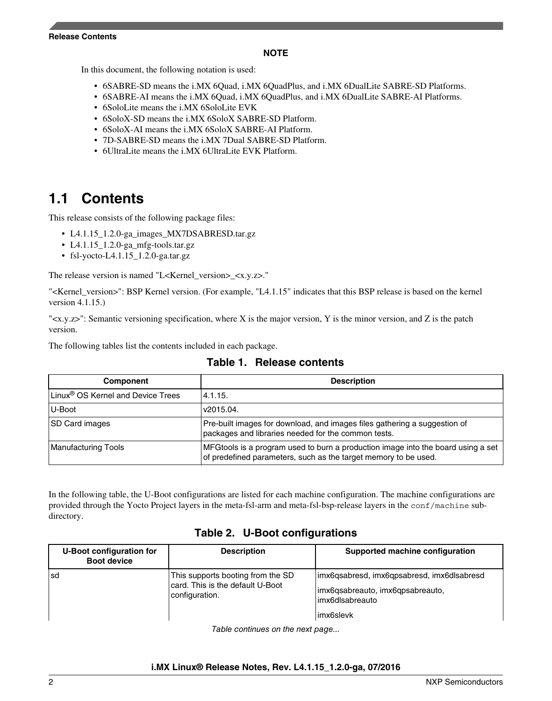#### **NOTE**

In this document, the following notation is used:

- 6SABRE-SD means the i.MX 6Quad, i.MX 6QuadPlus, and i.MX 6DualLite SABRE-SD Platforms.
- 6SABRE-AI means the i.MX 6Quad, i.MX 6QuadPlus, and i.MX 6DualLite SABRE-AI Platforms.
- 6SoloLite means the i.MX 6SoloLite EVK
- 6SoloX-SD means the i.MX 6SoloX SABRE-SD Platform.
- 6SoloX-AI means the i.MX 6SoloX SABRE-AI Platform.
- 7D-SABRE-SD means the i.MX 7Dual SABRE-SD Platform.
- 6UltraLite means the i.MX 6UltraLite EVK Platform.

## **1.1 Contents**

This release consists of the following package files:

- L4.1.15 1.2.0-ga\_images\_MX7DSABRESD.tar.gz
- L4.1.15\_1.2.0-ga\_mfg-tools.tar.gz
- fsl-yocto-L4.1.15\_1.2.0-ga.tar.gz

The release version is named "L<Kernel\_version> <x.y.z>."

"<Kernel\_version>": BSP Kernel version. (For example, "L4.1.15" indicates that this BSP release is based on the kernel version 4.1.15.)

" $\langle x,y,z\rangle$ ": Semantic versioning specification, where X is the major version, Y is the minor version, and Z is the patch version.

The following tables list the contents included in each package.

| Component                                     | <b>Description</b>                                                                                                                                  |
|-----------------------------------------------|-----------------------------------------------------------------------------------------------------------------------------------------------------|
| Linux <sup>®</sup> OS Kernel and Device Trees | 4.1.15.                                                                                                                                             |
| U-Boot                                        | v2015.04.                                                                                                                                           |
| <b>SD Card images</b>                         | Pre-built images for download, and images files gathering a suggestion of<br>packages and libraries needed for the common tests.                    |
| Manufacturing Tools                           | MFGtools is a program used to burn a production image into the board using a set<br>of predefined parameters, such as the target memory to be used. |

|  |  | Table 1. Release contents |
|--|--|---------------------------|
|--|--|---------------------------|

In the following table, the U-Boot configurations are listed for each machine configuration. The machine configurations are provided through the Yocto Project layers in the meta-fsl-arm and meta-fsl-bsp-release layers in the conf/machine subdirectory.

### **Table 2. U-Boot configurations**

| U-Boot configuration for<br><b>Boot device</b> | <b>Description</b>                                                                      | Supported machine configuration                                                                                  |
|------------------------------------------------|-----------------------------------------------------------------------------------------|------------------------------------------------------------------------------------------------------------------|
| l sd                                           | This supports booting from the SD<br>card. This is the default U-Boot<br>configuration. | imx6qsabresd, imx6qpsabresd, imx6dlsabresd<br>imx6qsabreauto, imx6qpsabreauto,<br>limx6dlsabreauto<br>limx6slevk |

*Table continues on the next page...*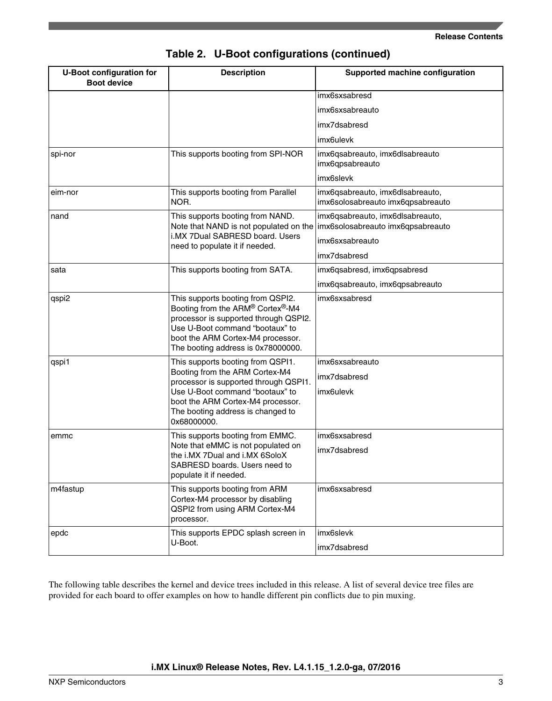| <b>U-Boot configuration for</b><br><b>Boot device</b> | <b>Description</b>                                                                                                                                                                                                                       | Supported machine configuration                                       |
|-------------------------------------------------------|------------------------------------------------------------------------------------------------------------------------------------------------------------------------------------------------------------------------------------------|-----------------------------------------------------------------------|
|                                                       |                                                                                                                                                                                                                                          | imx6sxsabresd                                                         |
|                                                       |                                                                                                                                                                                                                                          | imx6sxsabreauto                                                       |
|                                                       |                                                                                                                                                                                                                                          | imx7dsabresd                                                          |
|                                                       |                                                                                                                                                                                                                                          | imx6ulevk                                                             |
| spi-nor                                               | This supports booting from SPI-NOR                                                                                                                                                                                                       | imx6qsabreauto, imx6dlsabreauto<br>imx6qpsabreauto                    |
|                                                       |                                                                                                                                                                                                                                          | imx6slevk                                                             |
| eim-nor                                               | This supports booting from Parallel<br>NOR.                                                                                                                                                                                              | imx6qsabreauto, imx6dlsabreauto,<br>imx6solosabreauto imx6qpsabreauto |
| nand                                                  | This supports booting from NAND.<br>Note that NAND is not populated on the                                                                                                                                                               | imx6qsabreauto, imx6dlsabreauto,<br>imx6solosabreauto imx6qpsabreauto |
|                                                       | i.MX 7Dual SABRESD board. Users<br>need to populate it if needed.                                                                                                                                                                        | imx6sxsabreauto                                                       |
|                                                       |                                                                                                                                                                                                                                          | imx7dsabresd                                                          |
| sata                                                  | This supports booting from SATA.                                                                                                                                                                                                         | imx6qsabresd, imx6qpsabresd                                           |
|                                                       |                                                                                                                                                                                                                                          | imx6qsabreauto, imx6qpsabreauto                                       |
| qspi2                                                 | This supports booting from QSPI2.<br>Booting from the ARM® Cortex®-M4<br>processor is supported through QSPI2.<br>Use U-Boot command "bootaux" to<br>boot the ARM Cortex-M4 processor.<br>The booting address is 0x78000000.             | imx6sxsabresd                                                         |
| qspi1                                                 | This supports booting from QSPI1.<br>Booting from the ARM Cortex-M4<br>processor is supported through QSPI1.<br>Use U-Boot command "bootaux" to<br>boot the ARM Cortex-M4 processor.<br>The booting address is changed to<br>0x68000000. | imx6sxsabreauto<br>imx7dsabresd<br>imx6ulevk                          |
| emmc                                                  | This supports booting from EMMC.<br>Note that eMMC is not populated on<br>the i.MX 7Dual and i.MX 6SoloX<br>SABRESD boards. Users need to<br>populate it if needed.                                                                      | imx6sxsabresd<br>imx7dsabresd                                         |
| m4fastup                                              | This supports booting from ARM<br>Cortex-M4 processor by disabling<br>QSPI2 from using ARM Cortex-M4<br>processor.                                                                                                                       | imx6sxsabresd                                                         |
| $ $ epdc                                              | This supports EPDC splash screen in<br>U-Boot.                                                                                                                                                                                           | imx6slevk<br>imx7dsabresd                                             |

**Table 2. U-Boot configurations (continued)**

The following table describes the kernel and device trees included in this release. A list of several device tree files are provided for each board to offer examples on how to handle different pin conflicts due to pin muxing.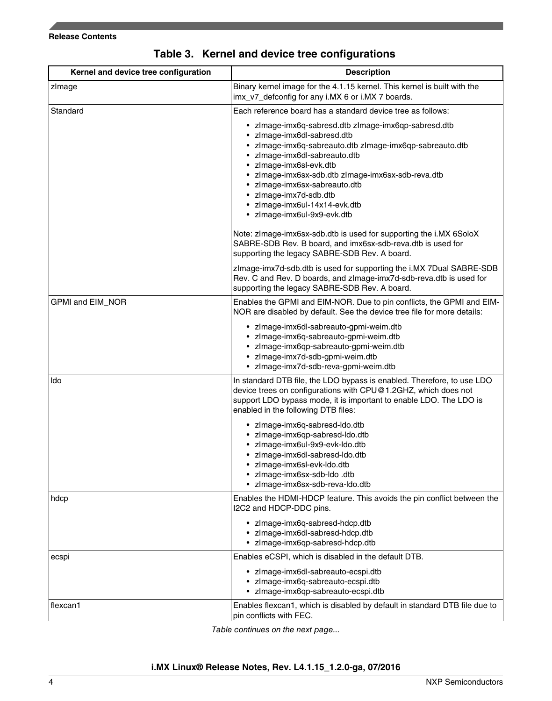#### **Release Contents**

| Kernel and device tree configuration | <b>Description</b>                                                                                                                                                                                                                                                                                                                                                                           |  |
|--------------------------------------|----------------------------------------------------------------------------------------------------------------------------------------------------------------------------------------------------------------------------------------------------------------------------------------------------------------------------------------------------------------------------------------------|--|
| zlmage                               | Binary kernel image for the 4.1.15 kernel. This kernel is built with the<br>imx_v7_defconfig for any i.MX 6 or i.MX 7 boards.                                                                                                                                                                                                                                                                |  |
| Standard                             | Each reference board has a standard device tree as follows:                                                                                                                                                                                                                                                                                                                                  |  |
|                                      | • zlmage-imx6q-sabresd.dtb zlmage-imx6qp-sabresd.dtb<br>· zlmage-imx6dl-sabresd.dtb<br>• zlmage-imx6q-sabreauto.dtb zlmage-imx6qp-sabreauto.dtb<br>• zlmage-imx6dl-sabreauto.dtb<br>• zlmage-imx6sl-evk.dtb<br>• zlmage-imx6sx-sdb.dtb zlmage-imx6sx-sdb-reva.dtb<br>• zlmage-imx6sx-sabreauto.dtb<br>• zlmage-imx7d-sdb.dtb<br>· zlmage-imx6ul-14x14-evk.dtb<br>• zlmage-imx6ul-9x9-evk.dtb |  |
|                                      | Note: zImage-imx6sx-sdb.dtb is used for supporting the i.MX 6SoloX<br>SABRE-SDB Rev. B board, and imx6sx-sdb-reva.dtb is used for<br>supporting the legacy SABRE-SDB Rev. A board.                                                                                                                                                                                                           |  |
|                                      | zImage-imx7d-sdb.dtb is used for supporting the i.MX 7Dual SABRE-SDB<br>Rev. C and Rev. D boards, and zImage-imx7d-sdb-reva.dtb is used for<br>supporting the legacy SABRE-SDB Rev. A board.                                                                                                                                                                                                 |  |
| GPMI and EIM_NOR                     | Enables the GPMI and EIM-NOR. Due to pin conflicts, the GPMI and EIM-<br>NOR are disabled by default. See the device tree file for more details:                                                                                                                                                                                                                                             |  |
|                                      | · zlmage-imx6dl-sabreauto-gpmi-weim.dtb<br>· zlmage-imx6q-sabreauto-gpmi-weim.dtb<br>· zlmage-imx6qp-sabreauto-gpmi-weim.dtb<br>· zlmage-imx7d-sdb-gpmi-weim.dtb<br>• zlmage-imx7d-sdb-reva-gpmi-weim.dtb                                                                                                                                                                                    |  |
| ldo                                  | In standard DTB file, the LDO bypass is enabled. Therefore, to use LDO<br>device trees on configurations with CPU@1.2GHZ, which does not<br>support LDO bypass mode, it is important to enable LDO. The LDO is<br>enabled in the following DTB files:                                                                                                                                        |  |
|                                      | · zlmage-imx6q-sabresd-Ido.dtb<br>· zlmage-imx6qp-sabresd-ldo.dtb<br>zImage-imx6ul-9x9-evk-Ido.dtb<br>zImage-imx6dl-sabresd-Ido.dtb<br>• zimage-imx6sl-evk-ldo.dtb<br>• zlmage-imx6sx-sdb-ldo .dtb<br>zlmage-imx6sx-sdb-reva-ldo.dtb                                                                                                                                                         |  |
| hdcp                                 | Enables the HDMI-HDCP feature. This avoids the pin conflict between the<br>I2C2 and HDCP-DDC pins.                                                                                                                                                                                                                                                                                           |  |
|                                      | · zlmage-imx6q-sabresd-hdcp.dtb<br>· zlmage-imx6dl-sabresd-hdcp.dtb<br>• zlmage-imx6qp-sabresd-hdcp.dtb                                                                                                                                                                                                                                                                                      |  |
| ecspi                                | Enables eCSPI, which is disabled in the default DTB.                                                                                                                                                                                                                                                                                                                                         |  |
|                                      | • zlmage-imx6dl-sabreauto-ecspi.dtb<br>· zlmage-imx6q-sabreauto-ecspi.dtb<br>· zlmage-imx6qp-sabreauto-ecspi.dtb                                                                                                                                                                                                                                                                             |  |
| flexcan1                             | Enables flexcan1, which is disabled by default in standard DTB file due to<br>pin conflicts with FEC.                                                                                                                                                                                                                                                                                        |  |

## **Table 3. Kernel and device tree configurations**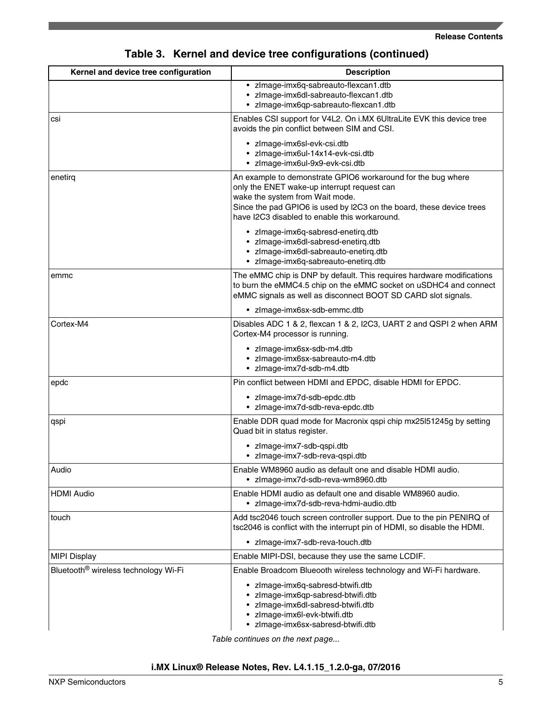## **Table 3. Kernel and device tree configurations (continued)**

| Kernel and device tree configuration             | <b>Description</b>                                                                                                                                                                                                                                                      |  |
|--------------------------------------------------|-------------------------------------------------------------------------------------------------------------------------------------------------------------------------------------------------------------------------------------------------------------------------|--|
|                                                  | · zlmage-imx6q-sabreauto-flexcan1.dtb<br>· zlmage-imx6dl-sabreauto-flexcan1.dtb<br>· zlmage-imx6qp-sabreauto-flexcan1.dtb                                                                                                                                               |  |
| csi                                              | Enables CSI support for V4L2. On i.MX 6UltraLite EVK this device tree<br>avoids the pin conflict between SIM and CSI.                                                                                                                                                   |  |
|                                                  | • zlmage-imx6sl-evk-csi.dtb<br>• zlmage-imx6ul-14x14-evk-csi.dtb<br>· zlmage-imx6ul-9x9-evk-csi.dtb                                                                                                                                                                     |  |
| enetirg                                          | An example to demonstrate GPIO6 workaround for the bug where<br>only the ENET wake-up interrupt request can<br>wake the system from Wait mode.<br>Since the pad GPIO6 is used by I2C3 on the board, these device trees<br>have I2C3 disabled to enable this workaround. |  |
|                                                  | • zlmage-imx6q-sabresd-enetirq.dtb<br>· zImage-imx6dl-sabresd-enetirq.dtb<br>· zlmage-imx6dl-sabreauto-enetirq.dtb<br>· zlmage-imx6q-sabreauto-enetirg.dtb                                                                                                              |  |
| emmc                                             | The eMMC chip is DNP by default. This requires hardware modifications<br>to burn the eMMC4.5 chip on the eMMC socket on uSDHC4 and connect<br>eMMC signals as well as disconnect BOOT SD CARD slot signals.                                                             |  |
|                                                  | • zimage-imx6sx-sdb-emmc.dtb                                                                                                                                                                                                                                            |  |
| Cortex-M4                                        | Disables ADC 1 & 2, flexcan 1 & 2, I2C3, UART 2 and QSPI 2 when ARM<br>Cortex-M4 processor is running.                                                                                                                                                                  |  |
|                                                  | · zImage-imx6sx-sdb-m4.dtb<br>· zlmage-imx6sx-sabreauto-m4.dtb<br>· zlmage-imx7d-sdb-m4.dtb                                                                                                                                                                             |  |
| epdc                                             | Pin conflict between HDMI and EPDC, disable HDMI for EPDC.                                                                                                                                                                                                              |  |
|                                                  | • zImage-imx7d-sdb-epdc.dtb<br>• zlmage-imx7d-sdb-reva-epdc.dtb                                                                                                                                                                                                         |  |
| qspi                                             | Enable DDR quad mode for Macronix qspi chip mx25l51245g by setting<br>Quad bit in status register.                                                                                                                                                                      |  |
|                                                  | · zlmage-imx7-sdb-qspi.dtb<br>· zlmage-imx7-sdb-reva-qspi.dtb                                                                                                                                                                                                           |  |
| Audio                                            | Enable WM8960 audio as default one and disable HDMI audio.<br>· zlmage-imx7d-sdb-reva-wm8960.dtb                                                                                                                                                                        |  |
| <b>HDMI Audio</b>                                | Enable HDMI audio as default one and disable WM8960 audio.<br>· zlmage-imx7d-sdb-reva-hdmi-audio.dtb                                                                                                                                                                    |  |
| touch                                            | Add tsc2046 touch screen controller support. Due to the pin PENIRQ of<br>tsc2046 is conflict with the interrupt pin of HDMI, so disable the HDMI.                                                                                                                       |  |
|                                                  | • zlmage-imx7-sdb-reva-touch.dtb                                                                                                                                                                                                                                        |  |
| <b>MIPI Display</b>                              | Enable MIPI-DSI, because they use the same LCDIF.                                                                                                                                                                                                                       |  |
| Bluetooth <sup>®</sup> wireless technology Wi-Fi | Enable Broadcom Blueooth wireless technology and Wi-Fi hardware.                                                                                                                                                                                                        |  |
|                                                  | • zlmage-imx6q-sabresd-btwifi.dtb<br>· zlmage-imx6qp-sabresd-btwifi.dtb<br>· zlmage-imx6dl-sabresd-btwifi.dtb<br>· zlmage-imx6l-evk-btwifi.dtb<br>· zlmage-imx6sx-sabresd-btwifi.dtb                                                                                    |  |

*Table continues on the next page...*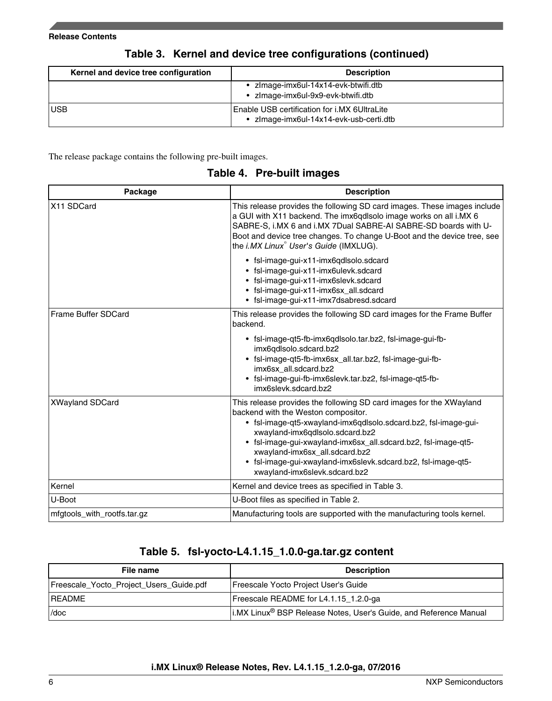| Kernel and device tree configuration | <b>Description</b>                                                                      |
|--------------------------------------|-----------------------------------------------------------------------------------------|
|                                      | • zlmage-imx6ul-14x14-evk-btwifi.dtb<br>• zlmage-imx6ul-9x9-evk-btwifi.dtb              |
| <b>USB</b>                           | Enable USB certification for i.MX 6UltraLite<br>• zlmage-imx6ul-14x14-evk-usb-certi.dtb |

### **Table 3. Kernel and device tree configurations (continued)**

The release package contains the following pre-built images.

|  | Table 4. Pre-built images |  |
|--|---------------------------|--|
|--|---------------------------|--|

| Package                     | <b>Description</b>                                                                                                                                                                                                                                                                                                                                                                                                     |
|-----------------------------|------------------------------------------------------------------------------------------------------------------------------------------------------------------------------------------------------------------------------------------------------------------------------------------------------------------------------------------------------------------------------------------------------------------------|
| X11 SDCard                  | This release provides the following SD card images. These images include<br>a GUI with X11 backend. The imx6qdlsolo image works on all i.MX 6<br>SABRE-S, i.MX 6 and i.MX 7Dual SABRE-AI SABRE-SD boards with U-<br>Boot and device tree changes. To change U-Boot and the device tree, see<br>the i.MX Linux <sup>®</sup> User's Guide (IMXLUG).                                                                      |
|                             | · fsl-image-gui-x11-imx6qdlsolo.sdcard<br>• fsl-image-gui-x11-imx6ulevk.sdcard<br>• fsl-image-gui-x11-imx6slevk.sdcard<br>• fsl-image-gui-x11-imx6sx_all.sdcard<br>· fsl-image-gui-x11-imx7dsabresd.sdcard                                                                                                                                                                                                             |
| <b>Frame Buffer SDCard</b>  | This release provides the following SD card images for the Frame Buffer<br>backend.                                                                                                                                                                                                                                                                                                                                    |
|                             | • fsl-image-qt5-fb-imx6qdlsolo.tar.bz2, fsl-image-gui-fb-<br>imx6qdlsolo.sdcard.bz2<br>· fsl-image-qt5-fb-imx6sx_all.tar.bz2, fsl-image-gui-fb-<br>imx6sx_all.sdcard.bz2<br>fsl-image-gui-fb-imx6slevk.tar.bz2, fsl-image-qt5-fb-<br>imx6slevk.sdcard.bz2                                                                                                                                                              |
| <b>XWayland SDCard</b>      | This release provides the following SD card images for the XWayland<br>backend with the Weston compositor.<br>• fsl-image-qt5-xwayland-imx6qdlsolo.sdcard.bz2, fsl-image-gui-<br>xwayland-imx6qdlsolo.sdcard.bz2<br>• fsl-image-gui-xwayland-imx6sx_all.sdcard.bz2, fsl-image-qt5-<br>xwayland-imx6sx_all.sdcard.bz2<br>• fsl-image-gui-xwayland-imx6slevk.sdcard.bz2, fsl-image-qt5-<br>xwayland-imx6slevk.sdcard.bz2 |
| Kernel                      | Kernel and device trees as specified in Table 3.                                                                                                                                                                                                                                                                                                                                                                       |
| U-Boot                      | U-Boot files as specified in Table 2.                                                                                                                                                                                                                                                                                                                                                                                  |
| mfgtools_with_rootfs.tar.gz | Manufacturing tools are supported with the manufacturing tools kernel.                                                                                                                                                                                                                                                                                                                                                 |

### **Table 5. fsl-yocto-L4.1.15\_1.0.0-ga.tar.gz content**

| File name                               | <b>Description</b>                                                            |
|-----------------------------------------|-------------------------------------------------------------------------------|
| Freescale_Yocto_Project_Users_Guide.pdf | Freescale Yocto Project User's Guide                                          |
| <b>README</b>                           | Freescale README for L4.1.15 1.2.0-ga                                         |
| /doc                                    | i.MX Linux <sup>®</sup> BSP Release Notes, User's Guide, and Reference Manual |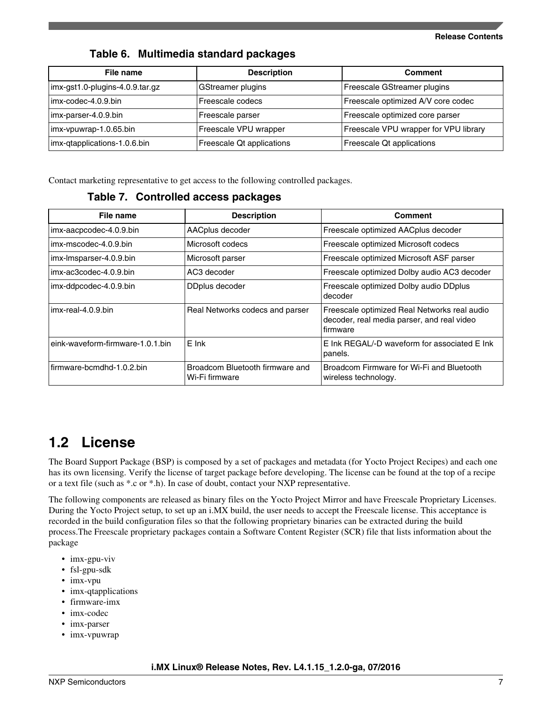### **Table 6. Multimedia standard packages**

| File name                       | <b>Description</b>        | <b>Comment</b>                        |
|---------------------------------|---------------------------|---------------------------------------|
| imx-gst1.0-plugins-4.0.9.tar.gz | GStreamer plugins         | Freescale GStreamer plugins           |
| imx-codec-4.0.9.bin             | Freescale codecs          | Freescale optimized A/V core codec    |
| imx-parser-4.0.9.bin            | Freescale parser          | Freescale optimized core parser       |
| imx-vpuwrap-1.0.65.bin          | Freescale VPU wrapper     | Freescale VPU wrapper for VPU library |
| imx-qtapplications-1.0.6.bin    | Freescale Qt applications | Freescale Qt applications             |

Contact marketing representative to get access to the following controlled packages.

| Table 7. Controlled access packages |  |
|-------------------------------------|--|
|-------------------------------------|--|

| File name                        | <b>Description</b>                                | <b>Comment</b>                                                                                         |
|----------------------------------|---------------------------------------------------|--------------------------------------------------------------------------------------------------------|
| imx-aacpcodec-4.0.9.bin          | AACplus decoder                                   | Freescale optimized AACplus decoder                                                                    |
| imx-mscodec-4.0.9.bin            | Microsoft codecs                                  | Freescale optimized Microsoft codecs                                                                   |
| imx-Imsparser-4.0.9.bin          | Microsoft parser                                  | Freescale optimized Microsoft ASF parser                                                               |
| imx-ac3codec-4.0.9.bin           | AC3 decoder                                       | Freescale optimized Dolby audio AC3 decoder                                                            |
| imx-ddpcodec-4.0.9.bin           | DDplus decoder                                    | Freescale optimized Dolby audio DDplus<br>decoder                                                      |
| imx-real-4.0.9.bin               | Real Networks codecs and parser                   | Freescale optimized Real Networks real audio<br>decoder, real media parser, and real video<br>firmware |
| eink-waveform-firmware-1.0.1.bin | E Ink                                             | E Ink REGAL/-D waveform for associated E Ink<br>panels.                                                |
| firmware-bcmdhd-1.0.2.bin        | Broadcom Bluetooth firmware and<br>Wi-Fi firmware | Broadcom Firmware for Wi-Fi and Bluetooth<br>wireless technology.                                      |

## **1.2 License**

The Board Support Package (BSP) is composed by a set of packages and metadata (for Yocto Project Recipes) and each one has its own licensing. Verify the license of target package before developing. The license can be found at the top of a recipe or a text file (such as \*.c or \*.h). In case of doubt, contact your NXP representative.

The following components are released as binary files on the Yocto Project Mirror and have Freescale Proprietary Licenses. During the Yocto Project setup, to set up an i.MX build, the user needs to accept the Freescale license. This acceptance is recorded in the build configuration files so that the following proprietary binaries can be extracted during the build process.The Freescale proprietary packages contain a Software Content Register (SCR) file that lists information about the package

- imx-gpu-viv
- fsl-gpu-sdk
- imx-vpu
- imx-qtapplications
- firmware-imx
- imx-codec
- imx-parser
- imx-vpuwrap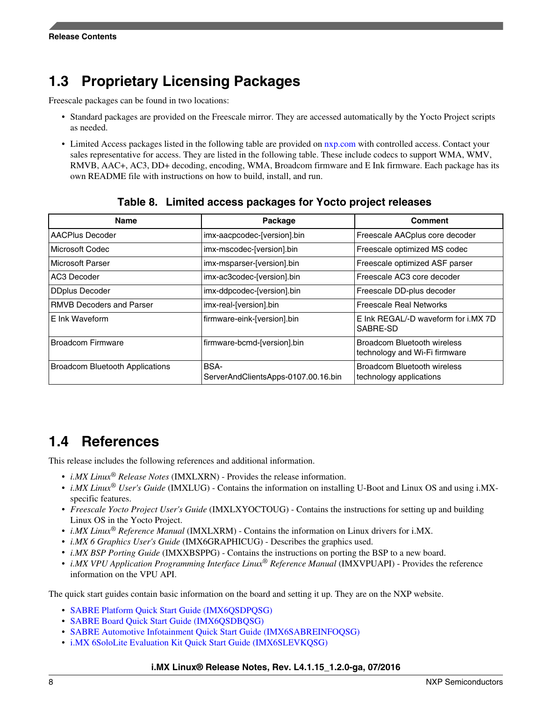## **1.3 Proprietary Licensing Packages**

Freescale packages can be found in two locations:

- Standard packages are provided on the Freescale mirror. They are accessed automatically by the Yocto Project scripts as needed.
- Limited Access packages listed in the following table are provided on [nxp.com](http://www.nxp.com) with controlled access. Contact your sales representative for access. They are listed in the following table. These include codecs to support WMA, WMV, RMVB, AAC+, AC3, DD+ decoding, encoding, WMA, Broadcom firmware and E Ink firmware. Each package has its own README file with instructions on how to build, install, and run.

| <b>Name</b>                            | Package                                            | <b>Comment</b>                                                |
|----------------------------------------|----------------------------------------------------|---------------------------------------------------------------|
| AACPlus Decoder                        | imx-aacpcodec-[version].bin                        | Freescale AACplus core decoder                                |
| Microsoft Codec                        | imx-mscodec-[version].bin                          | Freescale optimized MS codec                                  |
| Microsoft Parser                       | imx-msparser-[version].bin                         | Freescale optimized ASF parser                                |
| AC3 Decoder                            | imx-ac3codec-[version].bin                         | Freescale AC3 core decoder                                    |
| <b>DDplus Decoder</b>                  | imx-ddpcodec-[version].bin                         | Freescale DD-plus decoder                                     |
| <b>RMVB Decoders and Parser</b>        | imx-real-[version].bin                             | <b>Freescale Real Networks</b>                                |
| E Ink Waveform                         | firmware-eink-[version].bin                        | E Ink REGAL/-D waveform for i.MX 7D<br>SABRE-SD               |
| <b>Broadcom Firmware</b>               | firmware-bcmd-[version].bin                        | Broadcom Bluetooth wireless<br>technology and Wi-Fi firmware  |
| <b>Broadcom Bluetooth Applications</b> | <b>BSA-</b><br>ServerAndClientsApps-0107.00.16.bin | <b>Broadcom Bluetooth wireless</b><br>technology applications |

#### **Table 8. Limited access packages for Yocto project releases**

## **1.4 References**

This release includes the following references and additional information.

- *i.MX Linux® Release Notes* (IMXLXRN) Provides the release information.
- *i.MX Linux® User's Guide* (IMXLUG) Contains the information on installing U-Boot and Linux OS and using i.MXspecific features.
- *Freescale Yocto Project User's Guide* (IMXLXYOCTOUG) Contains the instructions for setting up and building Linux OS in the Yocto Project.
- *i.MX Linux® Reference Manual* (IMXLXRM) Contains the information on Linux drivers for i.MX.
- *i.MX 6 Graphics User's Guide* (IMX6GRAPHICUG) Describes the graphics used.
- *i.MX BSP Porting Guide* (IMXXBSPPG) Contains the instructions on porting the BSP to a new board.
- *i.MX VPU Application Programming Interface Linux® Reference Manual* (IMXVPUAPI) Provides the reference information on the VPU API.

The quick start guides contain basic information on the board and setting it up. They are on the NXP website.

- [SABRE Platform Quick Start Guide \(IMX6QSDPQSG\)](http://www.nxp.com/files/32bit/doc/quick_start_guide/SABRESDP_IMX6_QSG.pdf?fpsp=1)
- [SABRE Board Quick Start Guide \(IMX6QSDBQSG\)](http://www.nxp.com/files/32bit/doc/quick_start_guide/SABRESDB_IMX6_QSG.pdf?fpsp=1)
- [SABRE Automotive Infotainment Quick Start Guide \(IMX6SABREINFOQSG\)](http://www.nxp.com/files/32bit/doc/user_guide/IMX6SABREINFOQSG.pdf?fpsp=1)
- [i.MX 6SoloLite Evaluation Kit Quick Start Guide \(IMX6SLEVKQSG\)](http://www.nxp.com/files/32bit/doc/quick_start_guide/IMX6SL_EVK_QSG.pdf?fpsp=1)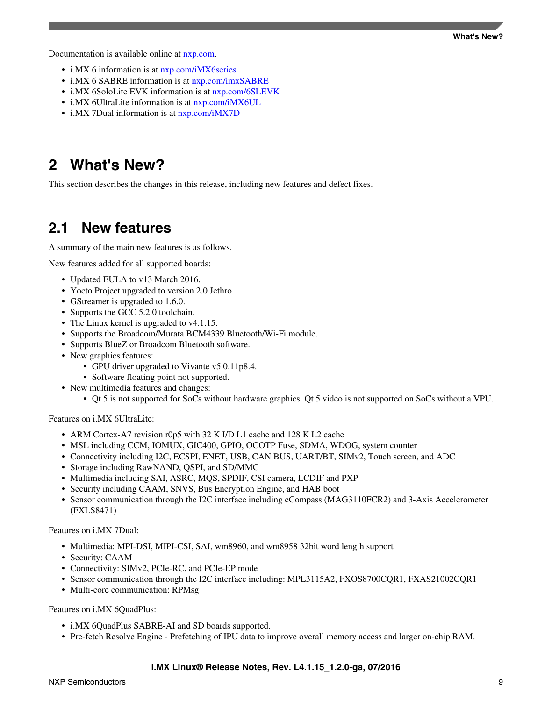<span id="page-8-0"></span>Documentation is available online at [nxp.com.](http://www.nxp.com)

- i.MX 6 information is at [nxp.com/iMX6series](http://www.nxp.com/iMX6series)
- i.MX 6 SABRE information is at [nxp.com/imxSABRE](http://www.nxp.com/imxSABRE)
- i.MX 6SoloLite EVK information is at [nxp.com/6SLEVK](http://www.nxp.com/6SLEVK)
- i.MX 6UltraLite information is at [nxp.com/iMX6UL](http://www.nxp.com/imx6ul)
- i.MX 7Dual information is at  $nxy.com/iMX7D$

## **2 What's New?**

This section describes the changes in this release, including new features and defect fixes.

## **2.1 New features**

A summary of the main new features is as follows.

New features added for all supported boards:

- Updated EULA to v13 March 2016.
- Yocto Project upgraded to version 2.0 Jethro.
- GStreamer is upgraded to 1.6.0.
- Supports the GCC 5.2.0 toolchain.
- The Linux kernel is upgraded to  $v4.1.15$ .
- Supports the Broadcom/Murata BCM4339 Bluetooth/Wi-Fi module.
- Supports BlueZ or Broadcom Bluetooth software.
- New graphics features:
	- GPU driver upgraded to Vivante v5.0.11p8.4.
	- Software floating point not supported.
- New multimedia features and changes:
	- Qt 5 is not supported for SoCs without hardware graphics. Qt 5 video is not supported on SoCs without a VPU.

Features on i.MX 6UltraLite:

- ARM Cortex-A7 revision r0p5 with 32 K I/D L1 cache and 128 K L2 cache
- MSL including CCM, IOMUX, GIC400, GPIO, OCOTP Fuse, SDMA, WDOG, system counter
- Connectivity including I2C, ECSPI, ENET, USB, CAN BUS, UART/BT, SIMv2, Touch screen, and ADC
- Storage including RawNAND, QSPI, and SD/MMC
- Multimedia including SAI, ASRC, MQS, SPDIF, CSI camera, LCDIF and PXP
- Security including CAAM, SNVS, Bus Encryption Engine, and HAB boot
- Sensor communication through the I2C interface including eCompass (MAG3110FCR2) and 3-Axis Accelerometer (FXLS8471)

Features on i.MX 7Dual:

- Multimedia: MPI-DSI, MIPI-CSI, SAI, wm8960, and wm8958 32bit word length support
- Security: CAAM
- Connectivity: SIMv2, PCIe-RC, and PCIe-EP mode
- Sensor communication through the I2C interface including: MPL3115A2, FXOS8700CQR1, FXAS21002CQR1
- Multi-core communication: RPMsg

Features on i.MX 6QuadPlus:

- i.MX 6QuadPlus SABRE-AI and SD boards supported.
- Pre-fetch Resolve Engine Prefetching of IPU data to improve overall memory access and larger on-chip RAM.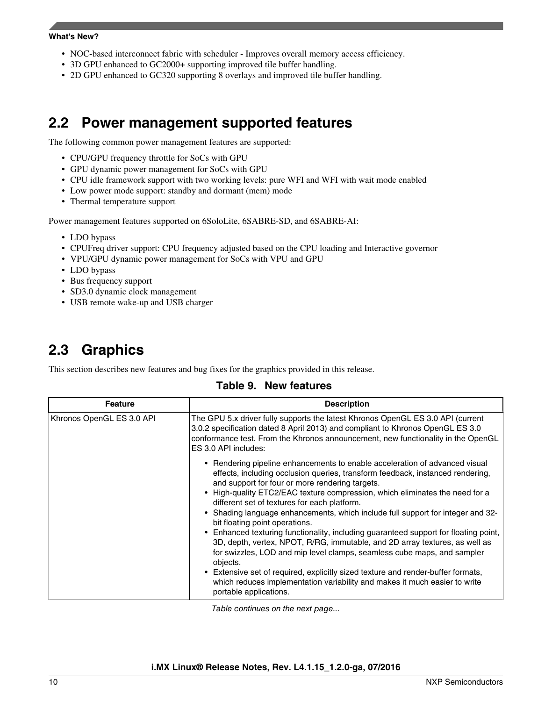#### **What's New?**

- NOC-based interconnect fabric with scheduler Improves overall memory access efficiency.
- 3D GPU enhanced to GC2000+ supporting improved tile buffer handling.
- 2D GPU enhanced to GC320 supporting 8 overlays and improved tile buffer handling.

## **2.2 Power management supported features**

The following common power management features are supported:

- CPU/GPU frequency throttle for SoCs with GPU
- GPU dynamic power management for SoCs with GPU
- CPU idle framework support with two working levels: pure WFI and WFI with wait mode enabled
- Low power mode support: standby and dormant (mem) mode
- Thermal temperature support

Power management features supported on 6SoloLite, 6SABRE-SD, and 6SABRE-AI:

- LDO bypass
- CPUFreq driver support: CPU frequency adjusted based on the CPU loading and Interactive governor
- VPU/GPU dynamic power management for SoCs with VPU and GPU
- LDO bypass
- Bus frequency support
- SD3.0 dynamic clock management
- USB remote wake-up and USB charger

## **2.3 Graphics**

This section describes new features and bug fixes for the graphics provided in this release.

### **Table 9. New features**

| <b>Feature</b>            | <b>Description</b>                                                                                                                                                                                                                                                                                                                                                                                                                                                                                                                                                                                                                                                                                                                                                                                                                                                                                                            |
|---------------------------|-------------------------------------------------------------------------------------------------------------------------------------------------------------------------------------------------------------------------------------------------------------------------------------------------------------------------------------------------------------------------------------------------------------------------------------------------------------------------------------------------------------------------------------------------------------------------------------------------------------------------------------------------------------------------------------------------------------------------------------------------------------------------------------------------------------------------------------------------------------------------------------------------------------------------------|
| Khronos OpenGL ES 3.0 API | The GPU 5.x driver fully supports the latest Khronos OpenGL ES 3.0 API (current<br>3.0.2 specification dated 8 April 2013) and compliant to Khronos OpenGL ES 3.0<br>conformance test. From the Khronos announcement, new functionality in the OpenGL<br>ES 3.0 API includes:                                                                                                                                                                                                                                                                                                                                                                                                                                                                                                                                                                                                                                                 |
|                           | • Rendering pipeline enhancements to enable acceleration of advanced visual<br>effects, including occlusion queries, transform feedback, instanced rendering,<br>and support for four or more rendering targets.<br>• High-quality ETC2/EAC texture compression, which eliminates the need for a<br>different set of textures for each platform.<br>• Shading language enhancements, which include full support for integer and 32-<br>bit floating point operations.<br>Enhanced texturing functionality, including guaranteed support for floating point,<br>3D, depth, vertex, NPOT, R/RG, immutable, and 2D array textures, as well as<br>for swizzles, LOD and mip level clamps, seamless cube maps, and sampler<br>objects.<br>• Extensive set of required, explicitly sized texture and render-buffer formats,<br>which reduces implementation variability and makes it much easier to write<br>portable applications. |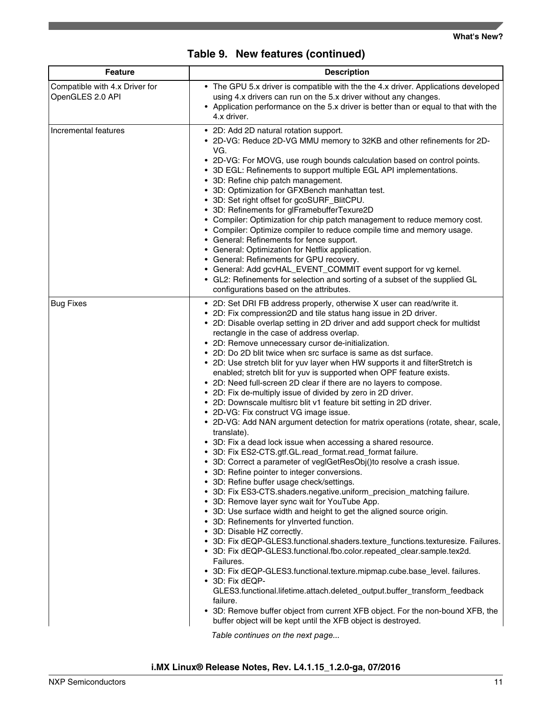|  | Table 9. New features (continued) |  |
|--|-----------------------------------|--|
|--|-----------------------------------|--|

| <b>Feature</b>                                     | <b>Description</b>                                                                                                                                                                                                                                                                                                                                                                                                                                                                                                                                                                                                                                                                                                                                                                                                                                                                                                                                                                                                                                                                                                                                                                                                                                                                                                                                                                                                                                                                                                                                                                                                                                                                                                                                                                                                                                                                                                                                                                                                       |
|----------------------------------------------------|--------------------------------------------------------------------------------------------------------------------------------------------------------------------------------------------------------------------------------------------------------------------------------------------------------------------------------------------------------------------------------------------------------------------------------------------------------------------------------------------------------------------------------------------------------------------------------------------------------------------------------------------------------------------------------------------------------------------------------------------------------------------------------------------------------------------------------------------------------------------------------------------------------------------------------------------------------------------------------------------------------------------------------------------------------------------------------------------------------------------------------------------------------------------------------------------------------------------------------------------------------------------------------------------------------------------------------------------------------------------------------------------------------------------------------------------------------------------------------------------------------------------------------------------------------------------------------------------------------------------------------------------------------------------------------------------------------------------------------------------------------------------------------------------------------------------------------------------------------------------------------------------------------------------------------------------------------------------------------------------------------------------------|
| Compatible with 4.x Driver for<br>OpenGLES 2.0 API | • The GPU 5.x driver is compatible with the the 4.x driver. Applications developed<br>using 4.x drivers can run on the 5.x driver without any changes.<br>• Application performance on the 5.x driver is better than or equal to that with the<br>4.x driver.                                                                                                                                                                                                                                                                                                                                                                                                                                                                                                                                                                                                                                                                                                                                                                                                                                                                                                                                                                                                                                                                                                                                                                                                                                                                                                                                                                                                                                                                                                                                                                                                                                                                                                                                                            |
| Incremental features                               | • 2D: Add 2D natural rotation support.<br>• 2D-VG: Reduce 2D-VG MMU memory to 32KB and other refinements for 2D-<br>VG.<br>• 2D-VG: For MOVG, use rough bounds calculation based on control points.<br>• 3D EGL: Refinements to support multiple EGL API implementations.<br>• 3D: Refine chip patch management.<br>• 3D: Optimization for GFXBench manhattan test.<br>• 3D: Set right offset for gcoSURF_BlitCPU.<br>• 3D: Refinements for glFramebufferTexure2D<br>• Compiler: Optimization for chip patch management to reduce memory cost.<br>• Compiler: Optimize compiler to reduce compile time and memory usage.<br>• General: Refinements for fence support.<br>• General: Optimization for Netflix application.<br>• General: Refinements for GPU recovery.<br>• General: Add gcvHAL_EVENT_COMMIT event support for vg kernel.<br>• GL2: Refinements for selection and sorting of a subset of the supplied GL<br>configurations based on the attributes.                                                                                                                                                                                                                                                                                                                                                                                                                                                                                                                                                                                                                                                                                                                                                                                                                                                                                                                                                                                                                                                       |
| <b>Bug Fixes</b>                                   | • 2D: Set DRI FB address properly, otherwise X user can read/write it.<br>• 2D: Fix compression2D and tile status hang issue in 2D driver.<br>• 2D: Disable overlap setting in 2D driver and add support check for multidst<br>rectangle in the case of address overlap.<br>• 2D: Remove unnecessary cursor de-initialization.<br>• 2D: Do 2D blit twice when src surface is same as dst surface.<br>• 2D: Use stretch blit for yuv layer when HW supports it and filterStretch is<br>enabled; stretch blit for yuv is supported when OPF feature exists.<br>• 2D: Need full-screen 2D clear if there are no layers to compose.<br>• 2D: Fix de-multiply issue of divided by zero in 2D driver.<br>• 2D: Downscale multisrc blit v1 feature bit setting in 2D driver.<br>• 2D-VG: Fix construct VG image issue.<br>• 2D-VG: Add NAN argument detection for matrix operations (rotate, shear, scale,<br>translate).<br>• 3D: Fix a dead lock issue when accessing a shared resource.<br>• 3D: Fix ES2-CTS.gtf.GL.read_format.read_format failure.<br>• 3D: Correct a parameter of veglGetResObj()to resolve a crash issue.<br>• 3D: Refine pointer to integer conversions.<br>• 3D: Refine buffer usage check/settings.<br>• 3D: Fix ES3-CTS.shaders.negative.uniform_precision_matching failure.<br>• 3D: Remove layer sync wait for YouTube App.<br>• 3D: Use surface width and height to get the aligned source origin.<br>3D: Refinements for ylnverted function.<br>• 3D: Disable HZ correctly.<br>• 3D: Fix dEQP-GLES3.functional.shaders.texture_functions.texturesize. Failures.<br>• 3D: Fix dEQP-GLES3.functional.fbo.color.repeated_clear.sample.tex2d.<br>Failures.<br>• 3D: Fix dEQP-GLES3.functional.texture.mipmap.cube.base_level. failures.<br>• 3D: Fix dEQP-<br>GLES3.functional.lifetime.attach.deleted_output.buffer_transform_feedback<br>failure.<br>3D: Remove buffer object from current XFB object. For the non-bound XFB, the<br>buffer object will be kept until the XFB object is destroyed. |

*Table continues on the next page...*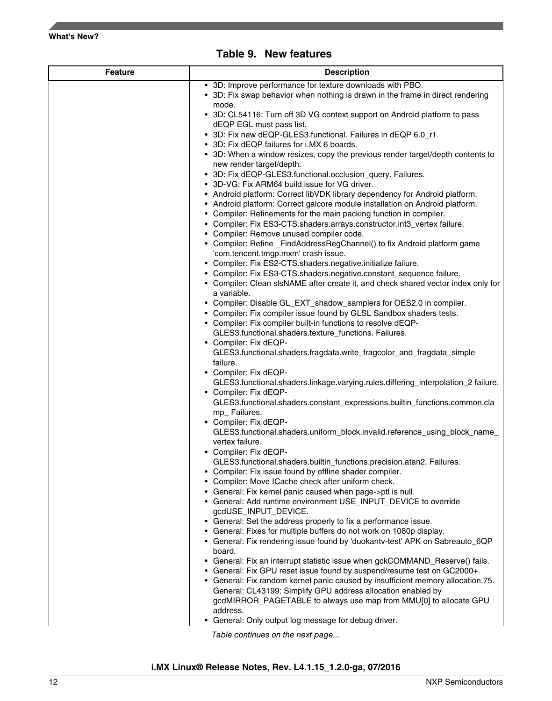

|  | Table 9. New features |  |
|--|-----------------------|--|
|--|-----------------------|--|

| <b>Feature</b> | <b>Description</b>                                                                                                                                 |  |
|----------------|----------------------------------------------------------------------------------------------------------------------------------------------------|--|
|                | • 3D: Improve performance for texture downloads with PBO.                                                                                          |  |
|                | • 3D: Fix swap behavior when nothing is drawn in the frame in direct rendering<br>mode.                                                            |  |
|                | • 3D: CL54116: Turn off 3D VG context support on Android platform to pass                                                                          |  |
|                | dEQP EGL must pass list.                                                                                                                           |  |
|                | • 3D: Fix new dEQP-GLES3.functional. Failures in dEQP 6.0_r1.                                                                                      |  |
|                | • 3D: Fix dEQP failures for i.MX 6 boards.<br>• 3D: When a window resizes, copy the previous render target/depth contents to                       |  |
|                | new render target/depth.                                                                                                                           |  |
|                | • 3D: Fix dEQP-GLES3.functional.occlusion_query. Failures.                                                                                         |  |
|                | • 3D-VG: Fix ARM64 build issue for VG driver.                                                                                                      |  |
|                | • Android platform: Correct libVDK library dependency for Android platform.                                                                        |  |
|                | • Android platform: Correct galcore module installation on Android platform.<br>• Compiler: Refinements for the main packing function in compiler. |  |
|                | • Compiler: Fix ES3-CTS.shaders.arrays.constructor.int3_vertex failure.                                                                            |  |
|                | • Compiler: Remove unused compiler code.                                                                                                           |  |
|                | • Compiler: Refine _FindAddressRegChannel() to fix Android platform game                                                                           |  |
|                | 'com.tencent.tmgp.mxm' crash issue.<br>• Compiler: Fix ES2-CTS.shaders.negative.initialize failure.                                                |  |
|                | • Compiler: Fix ES3-CTS.shaders.negative.constant_sequence failure.                                                                                |  |
|                | • Compiler: Clean sIsNAME after create it, and check shared vector index only for                                                                  |  |
|                | a variable.                                                                                                                                        |  |
|                | • Compiler: Disable GL_EXT_shadow_samplers for OES2.0 in compiler.                                                                                 |  |
|                | • Compiler: Fix compiler issue found by GLSL Sandbox shaders tests.<br>• Compiler: Fix compiler built-in functions to resolve dEQP-                |  |
|                | GLES3.functional.shaders.texture_functions. Failures.                                                                                              |  |
|                | • Compiler: Fix dEQP-                                                                                                                              |  |
|                | GLES3.functional.shaders.fragdata.write_fragcolor_and_fragdata_simple                                                                              |  |
|                | failure.                                                                                                                                           |  |
|                | • Compiler: Fix dEQP-<br>GLES3.functional.shaders.linkage.varying.rules.differing_interpolation_2 failure.                                         |  |
|                | • Compiler: Fix dEQP-                                                                                                                              |  |
|                | GLES3.functional.shaders.constant_expressions.builtin_functions.common.cla                                                                         |  |
|                | mp_Failures.                                                                                                                                       |  |
|                | • Compiler: Fix dEQP-<br>GLES3.functional.shaders.uniform_block.invalid.reference_using_block_name_                                                |  |
|                | vertex failure.                                                                                                                                    |  |
|                | • Compiler: Fix dEQP-                                                                                                                              |  |
|                | GLES3.functional.shaders.builtin_functions.precision.atan2. Failures.                                                                              |  |
|                | • Compiler: Fix issue found by offline shader compiler.                                                                                            |  |
|                | • Compiler: Move ICache check after uniform check.<br>• General: Fix kernel panic caused when page->ptl is null.                                   |  |
|                | • General: Add runtime environment USE_INPUT_DEVICE to override                                                                                    |  |
|                | gcdUSE_INPUT_DEVICE.                                                                                                                               |  |
|                | • General: Set the address properly to fix a performance issue.                                                                                    |  |
|                | • General: Fixes for multiple buffers do not work on 1080p display.                                                                                |  |
|                | • General: Fix rendering issue found by 'duokantv-test' APK on Sabreauto_6QP<br>board.                                                             |  |
|                | • General: Fix an interrupt statistic issue when gckCOMMAND_Reserve() fails.                                                                       |  |
|                | • General: Fix GPU reset issue found by suspend/resume test on GC2000+.                                                                            |  |
|                | • General: Fix random kernel panic caused by insufficient memory allocation.75.                                                                    |  |
|                | General: CL43199: Simplify GPU address allocation enabled by<br>gcdMIRROR_PAGETABLE to always use map from MMU[0] to allocate GPU                  |  |
|                | address.                                                                                                                                           |  |
|                | • General: Only output log message for debug driver.                                                                                               |  |
|                | Table continues on the next page                                                                                                                   |  |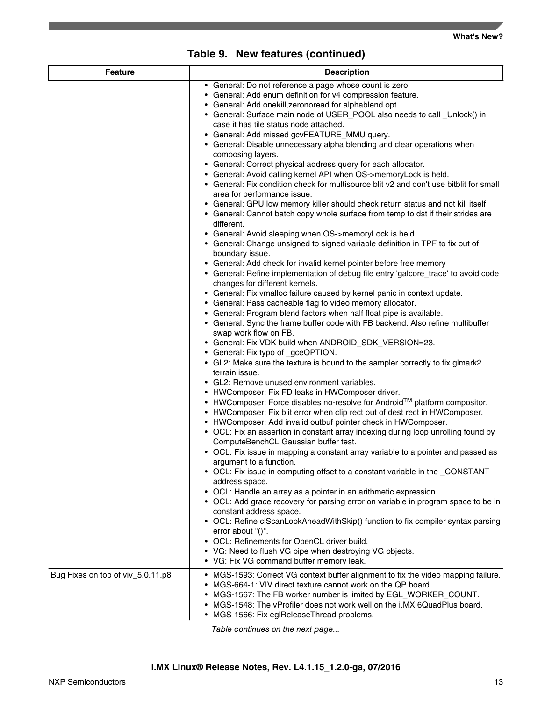| <b>Feature</b>                    | <b>Description</b>                                                                                                                                                                                                                                                                                                                                                                                                                                                                                                                                                                                                                                                                                                                                                                                                                                                                                                                                                                                                                                                                                                                                                                                                                                                                                                                                                                                                                                                                                                                                                                                                                                                                                                                                                                                                                                                                                                                                                                                                                                                                                                                                                                                                                                                                                                                                                                                                                                                                                                                                                                                                                                                                                                                                                                                                                                                                                                                              |  |
|-----------------------------------|-------------------------------------------------------------------------------------------------------------------------------------------------------------------------------------------------------------------------------------------------------------------------------------------------------------------------------------------------------------------------------------------------------------------------------------------------------------------------------------------------------------------------------------------------------------------------------------------------------------------------------------------------------------------------------------------------------------------------------------------------------------------------------------------------------------------------------------------------------------------------------------------------------------------------------------------------------------------------------------------------------------------------------------------------------------------------------------------------------------------------------------------------------------------------------------------------------------------------------------------------------------------------------------------------------------------------------------------------------------------------------------------------------------------------------------------------------------------------------------------------------------------------------------------------------------------------------------------------------------------------------------------------------------------------------------------------------------------------------------------------------------------------------------------------------------------------------------------------------------------------------------------------------------------------------------------------------------------------------------------------------------------------------------------------------------------------------------------------------------------------------------------------------------------------------------------------------------------------------------------------------------------------------------------------------------------------------------------------------------------------------------------------------------------------------------------------------------------------------------------------------------------------------------------------------------------------------------------------------------------------------------------------------------------------------------------------------------------------------------------------------------------------------------------------------------------------------------------------------------------------------------------------------------------------------------------------|--|
|                                   | • General: Do not reference a page whose count is zero.<br>• General: Add enum definition for v4 compression feature.<br>• General: Add onekill, zeronoread for alphablend opt.<br>• General: Surface main node of USER_POOL also needs to call _Unlock() in<br>case it has tile status node attached.<br>• General: Add missed gcvFEATURE_MMU query.<br>• General: Disable unnecessary alpha blending and clear operations when<br>composing layers.<br>• General: Correct physical address query for each allocator.<br>• General: Avoid calling kernel API when OS->memoryLock is held.<br>• General: Fix condition check for multisource blit v2 and don't use bitblit for small<br>area for performance issue.<br>• General: GPU low memory killer should check return status and not kill itself.<br>• General: Cannot batch copy whole surface from temp to dst if their strides are<br>different.<br>• General: Avoid sleeping when OS->memoryLock is held.<br>• General: Change unsigned to signed variable definition in TPF to fix out of<br>boundary issue.<br>• General: Add check for invalid kernel pointer before free memory<br>• General: Refine implementation of debug file entry 'galcore_trace' to avoid code<br>changes for different kernels.<br>• General: Fix vmalloc failure caused by kernel panic in context update.<br>• General: Pass cacheable flag to video memory allocator.<br>• General: Program blend factors when half float pipe is available.<br>• General: Sync the frame buffer code with FB backend. Also refine multibuffer<br>swap work flow on FB.<br>• General: Fix VDK build when ANDROID_SDK_VERSION=23.<br>• General: Fix typo of _gceOPTION.<br>• GL2: Make sure the texture is bound to the sampler correctly to fix glmark2<br>terrain issue.<br>• GL2: Remove unused environment variables.<br>• HWComposer: Fix FD leaks in HWComposer driver.<br>• HWComposer: Force disables no-resolve for Android <sup>TM</sup> platform compositor.<br>• HWComposer: Fix blit error when clip rect out of dest rect in HWComposer.<br>• HWComposer: Add invalid outbuf pointer check in HWComposer.<br>• OCL: Fix an assertion in constant array indexing during loop unrolling found by<br>ComputeBenchCL Gaussian buffer test.<br>• OCL: Fix issue in mapping a constant array variable to a pointer and passed as<br>argument to a function.<br>• OCL: Fix issue in computing offset to a constant variable in the _CONSTANT<br>address space.<br>• OCL: Handle an array as a pointer in an arithmetic expression.<br>• OCL: Add grace recovery for parsing error on variable in program space to be in<br>constant address space.<br>• OCL: Refine clScanLookAheadWithSkip() function to fix compiler syntax parsing<br>error about "()".<br>• OCL: Refinements for OpenCL driver build.<br>• VG: Need to flush VG pipe when destroying VG objects.<br>• VG: Fix VG command buffer memory leak. |  |
| Bug Fixes on top of viv_5.0.11.p8 | • MGS-1593: Correct VG context buffer alignment to fix the video mapping failure.<br>• MGS-664-1: VIV direct texture cannot work on the QP board.<br>• MGS-1567: The FB worker number is limited by EGL_WORKER_COUNT.<br>• MGS-1548: The vProfiler does not work well on the i.MX 6QuadPlus board.<br>• MGS-1566: Fix eglReleaseThread problems.                                                                                                                                                                                                                                                                                                                                                                                                                                                                                                                                                                                                                                                                                                                                                                                                                                                                                                                                                                                                                                                                                                                                                                                                                                                                                                                                                                                                                                                                                                                                                                                                                                                                                                                                                                                                                                                                                                                                                                                                                                                                                                                                                                                                                                                                                                                                                                                                                                                                                                                                                                                                |  |

**Table 9. New features (continued)**

*Table continues on the next page...*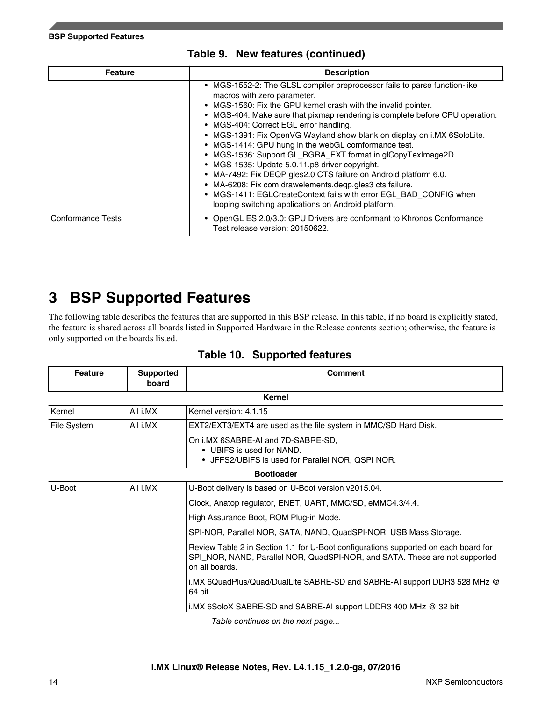<span id="page-13-0"></span>

| <b>Feature</b>    | <b>Description</b>                                                                                                                                                                                                                                                                                                                                                                                                                                                                                                                                                                                                                                                                                                                                                                                                 |  |
|-------------------|--------------------------------------------------------------------------------------------------------------------------------------------------------------------------------------------------------------------------------------------------------------------------------------------------------------------------------------------------------------------------------------------------------------------------------------------------------------------------------------------------------------------------------------------------------------------------------------------------------------------------------------------------------------------------------------------------------------------------------------------------------------------------------------------------------------------|--|
|                   | • MGS-1552-2: The GLSL compiler preprocessor fails to parse function-like<br>macros with zero parameter.<br>• MGS-1560: Fix the GPU kernel crash with the invalid pointer.<br>• MGS-404: Make sure that pixmap rendering is complete before CPU operation.<br>• MGS-404: Correct EGL error handling.<br>• MGS-1391: Fix OpenVG Wayland show blank on display on i.MX 6SoloLite.<br>• MGS-1414: GPU hung in the webGL comformance test.<br>• MGS-1536: Support GL_BGRA_EXT format in glCopyTexImage2D.<br>• MGS-1535: Update 5.0.11.p8 driver copyright.<br>• MA-7492: Fix DEQP gles2.0 CTS failure on Android platform 6.0.<br>• MA-6208: Fix com.drawelements.deqp.gles3 cts failure.<br>• MGS-1411: EGLCreateContext fails with error EGL_BAD_CONFIG when<br>looping switching applications on Android platform. |  |
| Conformance Tests | • OpenGL ES 2.0/3.0: GPU Drivers are conformant to Khronos Conformance<br>Test release version: 20150622.                                                                                                                                                                                                                                                                                                                                                                                                                                                                                                                                                                                                                                                                                                          |  |

### **Table 9. New features (continued)**

## **3 BSP Supported Features**

The following table describes the features that are supported in this BSP release. In this table, if no board is explicitly stated, the feature is shared across all boards listed in Supported Hardware in the Release contents section; otherwise, the feature is only supported on the boards listed.

| <b>Feature</b>                                                    | <b>Supported</b><br>board              | <b>Comment</b>                                                                                                                                                                       |
|-------------------------------------------------------------------|----------------------------------------|--------------------------------------------------------------------------------------------------------------------------------------------------------------------------------------|
|                                                                   |                                        | Kernel                                                                                                                                                                               |
| Kernel                                                            | All i.MX                               | Kernel version: 4.1.15                                                                                                                                                               |
| File System                                                       | All i.MX                               | EXT2/EXT3/EXT4 are used as the file system in MMC/SD Hard Disk.                                                                                                                      |
|                                                                   |                                        | On i.MX 6SABRE-AI and 7D-SABRE-SD,<br>• UBIFS is used for NAND.<br>• JFFS2/UBIFS is used for Parallel NOR, QSPI NOR.                                                                 |
| <b>Bootloader</b>                                                 |                                        |                                                                                                                                                                                      |
| U-Boot                                                            | All i.MX                               | U-Boot delivery is based on U-Boot version v2015.04.                                                                                                                                 |
|                                                                   |                                        | Clock, Anatop regulator, ENET, UART, MMC/SD, eMMC4.3/4.4.                                                                                                                            |
|                                                                   | High Assurance Boot, ROM Plug-in Mode. |                                                                                                                                                                                      |
| SPI-NOR, Parallel NOR, SATA, NAND, QuadSPI-NOR, USB Mass Storage. |                                        |                                                                                                                                                                                      |
|                                                                   |                                        | Review Table 2 in Section 1.1 for U-Boot configurations supported on each board for<br>SPI_NOR, NAND, Parallel NOR, QuadSPI-NOR, and SATA. These are not supported<br>on all boards. |
|                                                                   |                                        | i.MX 6QuadPlus/Quad/DualLite SABRE-SD and SABRE-AI support DDR3 528 MHz @<br>64 bit.                                                                                                 |
|                                                                   |                                        | i.MX 6SoloX SABRE-SD and SABRE-AI support LDDR3 400 MHz @ 32 bit                                                                                                                     |

### **Table 10. Supported features**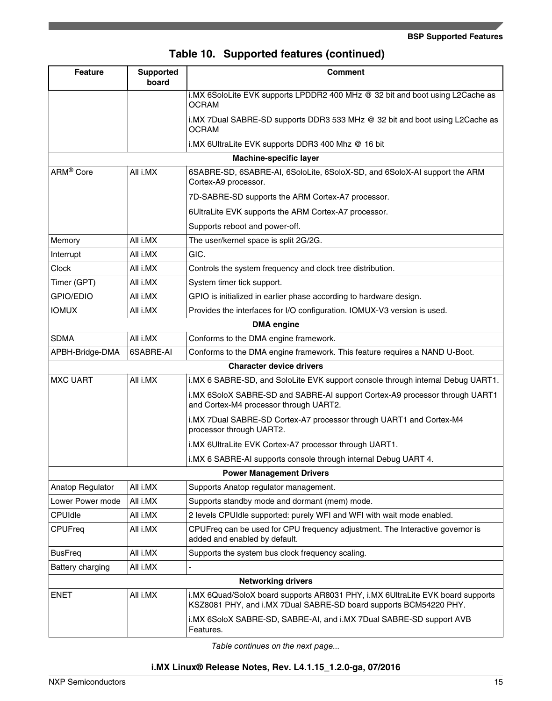| Table 10. Supported features (continued) |  |  |  |  |
|------------------------------------------|--|--|--|--|
|------------------------------------------|--|--|--|--|

| <b>Feature</b>        | <b>Supported</b><br>board | <b>Comment</b>                                                                                                                                      |  |
|-----------------------|---------------------------|-----------------------------------------------------------------------------------------------------------------------------------------------------|--|
|                       |                           | i.MX 6SoloLite EVK supports LPDDR2 400 MHz @ 32 bit and boot using L2Cache as<br><b>OCRAM</b>                                                       |  |
|                       |                           | i.MX 7Dual SABRE-SD supports DDR3 533 MHz @ 32 bit and boot using L2Cache as<br><b>OCRAM</b>                                                        |  |
|                       |                           | i.MX 6UltraLite EVK supports DDR3 400 Mhz @ 16 bit                                                                                                  |  |
|                       |                           | <b>Machine-specific layer</b>                                                                                                                       |  |
| ARM <sup>®</sup> Core | All i.MX                  | 6SABRE-SD, 6SABRE-AI, 6SoloLite, 6SoloX-SD, and 6SoloX-AI support the ARM<br>Cortex-A9 processor.                                                   |  |
|                       |                           | 7D-SABRE-SD supports the ARM Cortex-A7 processor.                                                                                                   |  |
|                       |                           | 6UltraLite EVK supports the ARM Cortex-A7 processor.                                                                                                |  |
|                       |                           | Supports reboot and power-off.                                                                                                                      |  |
| Memory                | All i.MX                  | The user/kernel space is split 2G/2G.                                                                                                               |  |
| Interrupt             | All i.MX                  | GIC.                                                                                                                                                |  |
| <b>Clock</b>          | All i.MX                  | Controls the system frequency and clock tree distribution.                                                                                          |  |
| Timer (GPT)           | All i.MX                  | System timer tick support.                                                                                                                          |  |
| GPIO/EDIO             | All i.MX                  | GPIO is initialized in earlier phase according to hardware design.                                                                                  |  |
| <b>IOMUX</b>          | All i.MX                  | Provides the interfaces for I/O configuration. IOMUX-V3 version is used.                                                                            |  |
| <b>DMA</b> engine     |                           |                                                                                                                                                     |  |
| <b>SDMA</b>           | All i.MX                  | Conforms to the DMA engine framework.                                                                                                               |  |
| APBH-Bridge-DMA       | 6SABRE-AI                 | Conforms to the DMA engine framework. This feature requires a NAND U-Boot.                                                                          |  |
|                       |                           | <b>Character device drivers</b>                                                                                                                     |  |
| <b>MXC UART</b>       | All i.MX                  | i.MX 6 SABRE-SD, and SoloLite EVK support console through internal Debug UART1.                                                                     |  |
|                       |                           | i.MX 6SoloX SABRE-SD and SABRE-AI support Cortex-A9 processor through UART1<br>and Cortex-M4 processor through UART2.                               |  |
|                       |                           | i.MX 7Dual SABRE-SD Cortex-A7 processor through UART1 and Cortex-M4<br>processor through UART2.                                                     |  |
|                       |                           | i.MX 6UltraLite EVK Cortex-A7 processor through UART1.                                                                                              |  |
|                       |                           | i.MX 6 SABRE-AI supports console through internal Debug UART 4.                                                                                     |  |
|                       |                           | <b>Power Management Drivers</b>                                                                                                                     |  |
| Anatop Regulator      | All i.MX                  | Supports Anatop regulator management.                                                                                                               |  |
| Lower Power mode      | All i.MX                  | Supports standby mode and dormant (mem) mode.                                                                                                       |  |
| <b>CPUIdle</b>        | All i.MX                  | 2 levels CPUIdle supported: purely WFI and WFI with wait mode enabled.                                                                              |  |
| CPUFreq               | All i.MX                  | CPUFreq can be used for CPU frequency adjustment. The Interactive governor is<br>added and enabled by default.                                      |  |
| <b>BusFreg</b>        | All i.MX                  | Supports the system bus clock frequency scaling.                                                                                                    |  |
| Battery charging      | All i.MX                  |                                                                                                                                                     |  |
|                       |                           | <b>Networking drivers</b>                                                                                                                           |  |
| <b>ENET</b>           | All i.MX                  | i.MX 6Quad/SoloX board supports AR8031 PHY, i.MX 6UltraLite EVK board supports<br>KSZ8081 PHY, and i.MX 7Dual SABRE-SD board supports BCM54220 PHY. |  |
|                       |                           | i.MX 6SoloX SABRE-SD, SABRE-AI, and i.MX 7Dual SABRE-SD support AVB<br>Features.                                                                    |  |

*Table continues on the next page...*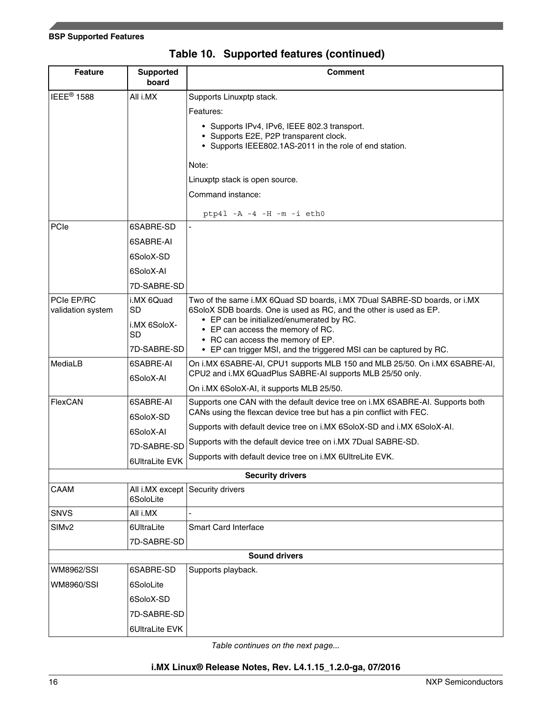| <b>Feature</b>                  | <b>Supported</b><br>board | <b>Comment</b>                                                                                                                                        |
|---------------------------------|---------------------------|-------------------------------------------------------------------------------------------------------------------------------------------------------|
| IEEE <sup>®</sup> 1588          | All i.MX                  | Supports Linuxptp stack.                                                                                                                              |
|                                 |                           | Features:                                                                                                                                             |
|                                 |                           | • Supports IPv4, IPv6, IEEE 802.3 transport.                                                                                                          |
|                                 |                           | • Supports E2E, P2P transparent clock.<br>• Supports IEEE802.1AS-2011 in the role of end station.                                                     |
|                                 |                           |                                                                                                                                                       |
|                                 |                           | Note:                                                                                                                                                 |
|                                 |                           | Linuxptp stack is open source.                                                                                                                        |
|                                 |                           | Command instance:                                                                                                                                     |
|                                 |                           | $ptp41 - A - 4 - H - m - i eth0$                                                                                                                      |
| PCIe                            | 6SABRE-SD                 |                                                                                                                                                       |
|                                 | 6SABRE-AI                 |                                                                                                                                                       |
|                                 | 6SoloX-SD                 |                                                                                                                                                       |
|                                 | 6SoloX-AI                 |                                                                                                                                                       |
|                                 | 7D-SABRE-SD               |                                                                                                                                                       |
| PCIe EP/RC<br>validation system | i.MX 6Quad<br><b>SD</b>   | Two of the same i.MX 6Quad SD boards, i.MX 7Dual SABRE-SD boards, or i.MX<br>6SoloX SDB boards. One is used as RC, and the other is used as EP.       |
|                                 | i.MX 6SoloX-              | • EP can be initialized/enumerated by RC.                                                                                                             |
|                                 | <b>SD</b>                 | • EP can access the memory of RC.<br>• RC can access the memory of EP.                                                                                |
|                                 | 7D-SABRE-SD               | • EP can trigger MSI, and the triggered MSI can be captured by RC.                                                                                    |
| MediaLB                         | 6SABRE-AI                 | On i.MX 6SABRE-AI, CPU1 supports MLB 150 and MLB 25/50. On i.MX 6SABRE-AI,                                                                            |
|                                 | 6SoloX-AI                 | CPU2 and i.MX 6QuadPlus SABRE-AI supports MLB 25/50 only.                                                                                             |
| FlexCAN                         | 6SABRE-AI                 | On i.MX 6SoloX-AI, it supports MLB 25/50.                                                                                                             |
|                                 | 6SoloX-SD                 | Supports one CAN with the default device tree on i.MX 6SABRE-AI. Supports both<br>CANs using the flexcan device tree but has a pin conflict with FEC. |
|                                 | 6SoloX-AI                 | Supports with default device tree on i.MX 6SoloX-SD and i.MX 6SoloX-AI.                                                                               |
|                                 | 7D-SABRE-SD               | Supports with the default device tree on i.MX 7Dual SABRE-SD.                                                                                         |
|                                 | 6UltraLite EVK            | Supports with default device tree on i.MX 6UltreLite EVK.                                                                                             |
|                                 |                           | <b>Security drivers</b>                                                                                                                               |
| CAAM                            |                           | All i.MX except Security drivers                                                                                                                      |
|                                 | 6SoloLite                 |                                                                                                                                                       |
| <b>SNVS</b>                     | All i.MX                  |                                                                                                                                                       |
| SIM <sub>v2</sub>               | 6UltraLite                | <b>Smart Card Interface</b>                                                                                                                           |
|                                 | 7D-SABRE-SD               |                                                                                                                                                       |
|                                 |                           | <b>Sound drivers</b>                                                                                                                                  |
| <b>WM8962/SSI</b>               | 6SABRE-SD                 | Supports playback.                                                                                                                                    |
| <b>WM8960/SSI</b>               | 6SoloLite                 |                                                                                                                                                       |
|                                 | 6SoloX-SD                 |                                                                                                                                                       |
|                                 | 7D-SABRE-SD               |                                                                                                                                                       |
|                                 | 6UltraLite EVK            |                                                                                                                                                       |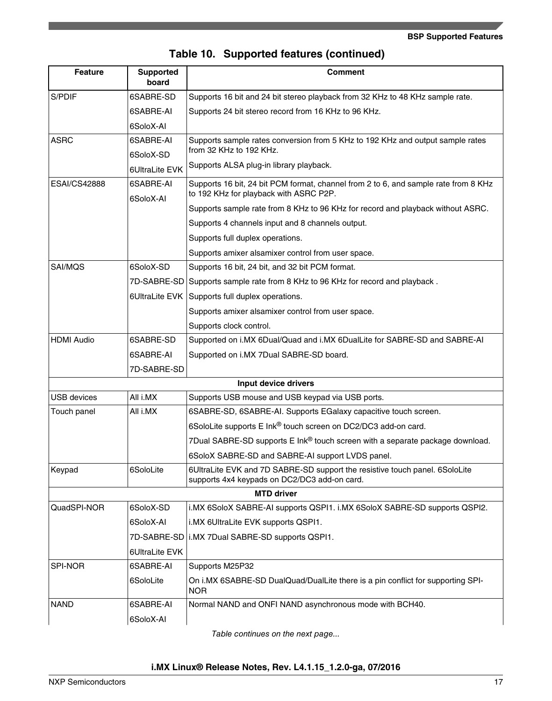|  |  |  | Table 10. Supported features (continued) |
|--|--|--|------------------------------------------|
|--|--|--|------------------------------------------|

| <b>Feature</b>      | <b>Supported</b><br>board | <b>Comment</b>                                                                                                                |
|---------------------|---------------------------|-------------------------------------------------------------------------------------------------------------------------------|
| S/PDIF              | 6SABRE-SD                 | Supports 16 bit and 24 bit stereo playback from 32 KHz to 48 KHz sample rate.                                                 |
|                     | 6SABRE-AI                 | Supports 24 bit stereo record from 16 KHz to 96 KHz.                                                                          |
|                     | 6SoloX-AI                 |                                                                                                                               |
| <b>ASRC</b>         | 6SABRE-AI                 | Supports sample rates conversion from 5 KHz to 192 KHz and output sample rates                                                |
|                     | 6SoloX-SD                 | from 32 KHz to 192 KHz.                                                                                                       |
|                     | 6UltraLite EVK            | Supports ALSA plug-in library playback.                                                                                       |
| <b>ESAI/CS42888</b> | 6SABRE-AI<br>6SoloX-AI    | Supports 16 bit, 24 bit PCM format, channel from 2 to 6, and sample rate from 8 KHz<br>to 192 KHz for playback with ASRC P2P. |
|                     |                           | Supports sample rate from 8 KHz to 96 KHz for record and playback without ASRC.                                               |
|                     |                           | Supports 4 channels input and 8 channels output.                                                                              |
|                     |                           | Supports full duplex operations.                                                                                              |
|                     |                           | Supports amixer alsamixer control from user space.                                                                            |
| SAI/MQS             | 6SoloX-SD                 | Supports 16 bit, 24 bit, and 32 bit PCM format.                                                                               |
|                     | 7D-SABRE-SD               | Supports sample rate from 8 KHz to 96 KHz for record and playback.                                                            |
|                     | 6UltraLite EVK            | Supports full duplex operations.                                                                                              |
|                     |                           | Supports amixer alsamixer control from user space.                                                                            |
|                     |                           | Supports clock control.                                                                                                       |
| <b>HDMI Audio</b>   | 6SABRE-SD                 | Supported on i.MX 6Dual/Quad and i.MX 6DualLite for SABRE-SD and SABRE-AI                                                     |
|                     | 6SABRE-AI                 | Supported on i.MX 7Dual SABRE-SD board.                                                                                       |
|                     | 7D-SABRE-SD               |                                                                                                                               |
|                     |                           | Input device drivers                                                                                                          |
| <b>USB</b> devices  | All i.MX                  | Supports USB mouse and USB keypad via USB ports.                                                                              |
| Touch panel         | All i.MX                  | 6SABRE-SD, 6SABRE-AI. Supports EGalaxy capacitive touch screen.                                                               |
|                     |                           | 6SoloLite supports E Ink® touch screen on DC2/DC3 add-on card.                                                                |
|                     |                           | 7Dual SABRE-SD supports E Ink® touch screen with a separate package download.                                                 |
|                     |                           | 6SoloX SABRE-SD and SABRE-AI support LVDS panel.                                                                              |
| Keypad              | 6SoloLite                 | 6UltraLite EVK and 7D SABRE-SD support the resistive touch panel. 6SoloLite<br>supports 4x4 keypads on DC2/DC3 add-on card.   |
|                     |                           | <b>MTD driver</b>                                                                                                             |
| QuadSPI-NOR         | 6SoloX-SD                 | i.MX 6SoloX SABRE-AI supports QSPI1. i.MX 6SoloX SABRE-SD supports QSPI2.                                                     |
|                     | 6SoloX-AI                 | i.MX 6UltraLite EVK supports QSPI1.                                                                                           |
|                     | 7D-SABRE-SD               | i.MX 7Dual SABRE-SD supports QSPI1.                                                                                           |
|                     | 6UltraLite EVK            |                                                                                                                               |
| SPI-NOR             | 6SABRE-AI                 | Supports M25P32                                                                                                               |
|                     | 6SoloLite                 | On i.MX 6SABRE-SD DualQuad/DualLite there is a pin conflict for supporting SPI-<br><b>NOR</b>                                 |
| <b>NAND</b>         | 6SABRE-AI                 | Normal NAND and ONFI NAND asynchronous mode with BCH40.                                                                       |
|                     | 6SoloX-Al                 |                                                                                                                               |

*Table continues on the next page...*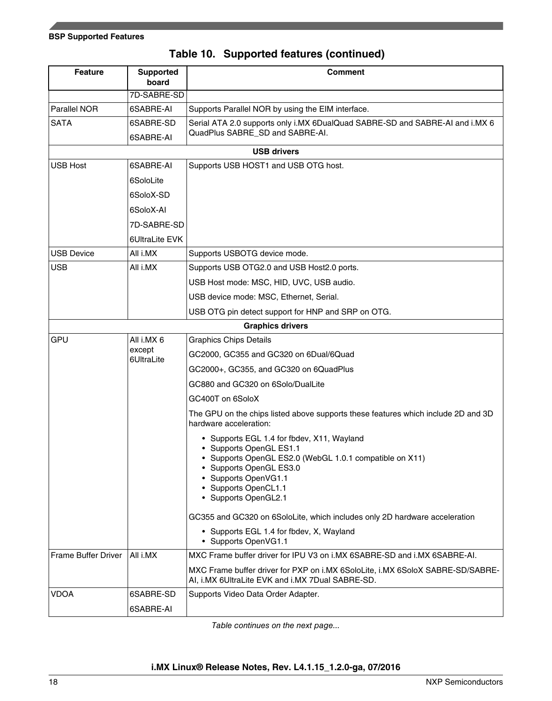|  | Table 10. Supported features (continued) |  |  |
|--|------------------------------------------|--|--|
|--|------------------------------------------|--|--|

| <b>Feature</b>      | <b>Supported</b><br>board | <b>Comment</b>                                                                                                                                                                                                                    |
|---------------------|---------------------------|-----------------------------------------------------------------------------------------------------------------------------------------------------------------------------------------------------------------------------------|
|                     | 7D-SABRE-SD               |                                                                                                                                                                                                                                   |
| Parallel NOR        | 6SABRE-AI                 | Supports Parallel NOR by using the EIM interface.                                                                                                                                                                                 |
| <b>SATA</b>         | 6SABRE-SD                 | Serial ATA 2.0 supports only i.MX 6DualQuad SABRE-SD and SABRE-AI and i.MX 6                                                                                                                                                      |
|                     | 6SABRE-AI                 | QuadPlus SABRE_SD and SABRE-AI.                                                                                                                                                                                                   |
|                     |                           | <b>USB drivers</b>                                                                                                                                                                                                                |
| <b>USB Host</b>     | 6SABRE-AI                 | Supports USB HOST1 and USB OTG host.                                                                                                                                                                                              |
|                     | 6SoloLite                 |                                                                                                                                                                                                                                   |
|                     | 6SoloX-SD                 |                                                                                                                                                                                                                                   |
|                     | 6SoloX-AI                 |                                                                                                                                                                                                                                   |
|                     | 7D-SABRE-SD               |                                                                                                                                                                                                                                   |
|                     | 6UltraLite EVK            |                                                                                                                                                                                                                                   |
| <b>USB Device</b>   | All i.MX                  | Supports USBOTG device mode.                                                                                                                                                                                                      |
| <b>USB</b>          | All i.MX                  | Supports USB OTG2.0 and USB Host2.0 ports.                                                                                                                                                                                        |
|                     |                           | USB Host mode: MSC, HID, UVC, USB audio.                                                                                                                                                                                          |
|                     |                           | USB device mode: MSC, Ethernet, Serial.                                                                                                                                                                                           |
|                     |                           | USB OTG pin detect support for HNP and SRP on OTG.                                                                                                                                                                                |
|                     |                           | <b>Graphics drivers</b>                                                                                                                                                                                                           |
| GPU                 | All i.MX 6                | <b>Graphics Chips Details</b>                                                                                                                                                                                                     |
|                     | except<br>6UltraLite      | GC2000, GC355 and GC320 on 6Dual/6Quad                                                                                                                                                                                            |
|                     |                           | GC2000+, GC355, and GC320 on 6QuadPlus                                                                                                                                                                                            |
|                     |                           | GC880 and GC320 on 6Solo/DualLite                                                                                                                                                                                                 |
|                     |                           | GC400T on 6SoloX                                                                                                                                                                                                                  |
|                     |                           | The GPU on the chips listed above supports these features which include 2D and 3D<br>hardware acceleration:                                                                                                                       |
|                     |                           | • Supports EGL 1.4 for fbdev, X11, Wayland<br>• Supports OpenGL ES1.1<br>• Supports OpenGL ES2.0 (WebGL 1.0.1 compatible on X11)<br>Supports OpenGL ES3.0<br>• Supports OpenVG1.1<br>• Supports OpenCL1.1<br>• Supports OpenGL2.1 |
|                     |                           | GC355 and GC320 on 6SoloLite, which includes only 2D hardware acceleration                                                                                                                                                        |
|                     |                           | • Supports EGL 1.4 for fbdev, X, Wayland<br>• Supports OpenVG1.1                                                                                                                                                                  |
| Frame Buffer Driver | All i.MX                  | MXC Frame buffer driver for IPU V3 on i.MX 6SABRE-SD and i.MX 6SABRE-AI.                                                                                                                                                          |
|                     |                           | MXC Frame buffer driver for PXP on i.MX 6SoloLite, i.MX 6SoloX SABRE-SD/SABRE-<br>AI, i.MX 6UltraLite EVK and i.MX 7Dual SABRE-SD.                                                                                                |
| <b>VDOA</b>         | 6SABRE-SD                 | Supports Video Data Order Adapter.                                                                                                                                                                                                |
|                     | 6SABRE-AI                 |                                                                                                                                                                                                                                   |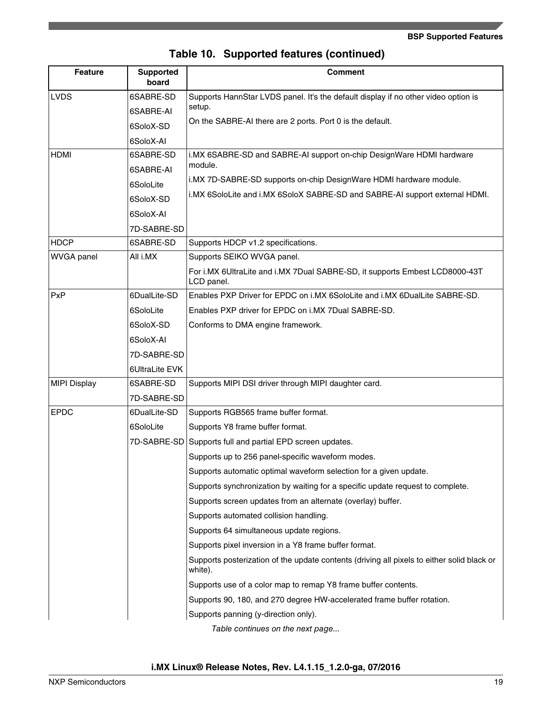| <b>Feature</b>      | <b>Supported</b><br>board | <b>Comment</b>                                                                                        |
|---------------------|---------------------------|-------------------------------------------------------------------------------------------------------|
| LVDS                | 6SABRE-SD                 | Supports HannStar LVDS panel. It's the default display if no other video option is                    |
|                     | 6SABRE-AI                 | setup.                                                                                                |
|                     | 6SoloX-SD                 | On the SABRE-AI there are 2 ports. Port 0 is the default.                                             |
|                     | 6SoloX-AI                 |                                                                                                       |
| <b>HDMI</b>         | 6SABRE-SD                 | i.MX 6SABRE-SD and SABRE-AI support on-chip DesignWare HDMI hardware                                  |
|                     | 6SABRE-AI                 | module.                                                                                               |
|                     | 6SoloLite                 | i.MX 7D-SABRE-SD supports on-chip DesignWare HDMI hardware module.                                    |
|                     | 6SoloX-SD                 | i.MX 6SoloLite and i.MX 6SoloX SABRE-SD and SABRE-AI support external HDMI.                           |
|                     | 6SoloX-AI                 |                                                                                                       |
|                     | 7D-SABRE-SD               |                                                                                                       |
| <b>HDCP</b>         | 6SABRE-SD                 | Supports HDCP v1.2 specifications.                                                                    |
| <b>WVGA</b> panel   | All i.MX                  | Supports SEIKO WVGA panel.                                                                            |
|                     |                           | For i.MX 6UltraLite and i.MX 7Dual SABRE-SD, it supports Embest LCD8000-43T<br>LCD panel.             |
| PxP                 | 6DualLite-SD              | Enables PXP Driver for EPDC on i.MX 6SoloLite and i.MX 6DualLite SABRE-SD.                            |
|                     | 6SoloLite                 | Enables PXP driver for EPDC on i.MX 7Dual SABRE-SD.                                                   |
|                     | 6SoloX-SD                 | Conforms to DMA engine framework.                                                                     |
|                     | 6SoloX-AI                 |                                                                                                       |
|                     | 7D-SABRE-SD               |                                                                                                       |
|                     | 6UltraLite EVK            |                                                                                                       |
| <b>MIPI Display</b> | 6SABRE-SD                 | Supports MIPI DSI driver through MIPI daughter card.                                                  |
|                     | 7D-SABRE-SD               |                                                                                                       |
| <b>EPDC</b>         | 6DualLite-SD              | Supports RGB565 frame buffer format.                                                                  |
|                     | 6SoloLite                 | Supports Y8 frame buffer format.                                                                      |
|                     |                           | 7D-SABRE-SD Supports full and partial EPD screen updates.                                             |
|                     |                           | Supports up to 256 panel-specific waveform modes.                                                     |
|                     |                           | Supports automatic optimal waveform selection for a given update.                                     |
|                     |                           | Supports synchronization by waiting for a specific update request to complete.                        |
|                     |                           | Supports screen updates from an alternate (overlay) buffer.                                           |
|                     |                           | Supports automated collision handling.                                                                |
|                     |                           | Supports 64 simultaneous update regions.                                                              |
|                     |                           | Supports pixel inversion in a Y8 frame buffer format.                                                 |
|                     |                           | Supports posterization of the update contents (driving all pixels to either solid black or<br>white). |
|                     |                           | Supports use of a color map to remap Y8 frame buffer contents.                                        |
|                     |                           | Supports 90, 180, and 270 degree HW-accelerated frame buffer rotation.                                |
|                     |                           | Supports panning (y-direction only).                                                                  |
|                     |                           | Table continues on the next page                                                                      |

|  | Table 10. Supported features (continued) |  |  |
|--|------------------------------------------|--|--|
|--|------------------------------------------|--|--|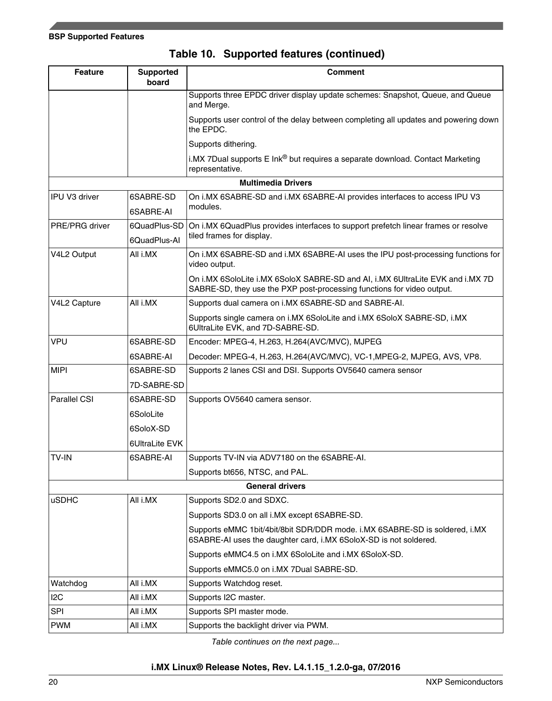| <b>Feature</b> | <b>Supported</b><br>board    | <b>Comment</b>                                                                                                                                           |
|----------------|------------------------------|----------------------------------------------------------------------------------------------------------------------------------------------------------|
|                |                              | Supports three EPDC driver display update schemes: Snapshot, Queue, and Queue<br>and Merge.                                                              |
|                |                              | Supports user control of the delay between completing all updates and powering down<br>the EPDC.                                                         |
|                |                              | Supports dithering.                                                                                                                                      |
|                |                              | i.MX 7Dual supports E Ink® but requires a separate download. Contact Marketing<br>representative.                                                        |
|                |                              | <b>Multimedia Drivers</b>                                                                                                                                |
| IPU V3 driver  | 6SABRE-SD<br>6SABRE-AI       | On i.MX 6SABRE-SD and i.MX 6SABRE-AI provides interfaces to access IPU V3<br>modules.                                                                    |
| PRE/PRG driver | 6QuadPlus-SD<br>6QuadPlus-Al | On i.MX 6QuadPlus provides interfaces to support prefetch linear frames or resolve<br>tiled frames for display.                                          |
| V4L2 Output    | All i.MX                     | On i.MX 6SABRE-SD and i.MX 6SABRE-AI uses the IPU post-processing functions for<br>video output.                                                         |
|                |                              | On i.MX 6SoloLite i.MX 6SoloX SABRE-SD and AI, i.MX 6UltraLite EVK and i.MX 7D<br>SABRE-SD, they use the PXP post-processing functions for video output. |
| V4L2 Capture   | All i.MX                     | Supports dual camera on i.MX 6SABRE-SD and SABRE-AI.                                                                                                     |
|                |                              | Supports single camera on i.MX 6SoloLite and i.MX 6SoloX SABRE-SD, i.MX<br>6UltraLite EVK, and 7D-SABRE-SD.                                              |
| <b>VPU</b>     | 6SABRE-SD                    | Encoder: MPEG-4, H.263, H.264(AVC/MVC), MJPEG                                                                                                            |
|                | 6SABRE-AI                    | Decoder: MPEG-4, H.263, H.264(AVC/MVC), VC-1, MPEG-2, MJPEG, AVS, VP8.                                                                                   |
| <b>MIPI</b>    | 6SABRE-SD                    | Supports 2 lanes CSI and DSI. Supports OV5640 camera sensor                                                                                              |
|                | 7D-SABRE-SD                  |                                                                                                                                                          |
| Parallel CSI   | 6SABRE-SD                    | Supports OV5640 camera sensor.                                                                                                                           |
|                | 6SoloLite                    |                                                                                                                                                          |
|                | 6SoloX-SD                    |                                                                                                                                                          |
|                | 6UltraLite EVK               |                                                                                                                                                          |
| <b>TV-IN</b>   | 6SABRE-AI                    | Supports TV-IN via ADV7180 on the 6SABRE-AI.                                                                                                             |
|                |                              | Supports bt656, NTSC, and PAL.                                                                                                                           |
|                |                              | <b>General drivers</b>                                                                                                                                   |
| <b>uSDHC</b>   | All i.MX                     | Supports SD2.0 and SDXC.                                                                                                                                 |
|                |                              | Supports SD3.0 on all i.MX except 6SABRE-SD.                                                                                                             |
|                |                              | Supports eMMC 1bit/4bit/8bit SDR/DDR mode. i.MX 6SABRE-SD is soldered, i.MX<br>6SABRE-AI uses the daughter card, i.MX 6SoloX-SD is not soldered.         |
|                |                              | Supports eMMC4.5 on i.MX 6SoloLite and i.MX 6SoloX-SD.                                                                                                   |
|                |                              | Supports eMMC5.0 on i.MX 7Dual SABRE-SD.                                                                                                                 |
| Watchdog       | All i.MX                     | Supports Watchdog reset.                                                                                                                                 |
| 12C            | All i.MX                     | Supports I2C master.                                                                                                                                     |
| <b>SPI</b>     | All i.MX                     | Supports SPI master mode.                                                                                                                                |
| <b>PWM</b>     | All i.MX                     | Supports the backlight driver via PWM.                                                                                                                   |

**Table 10. Supported features (continued)**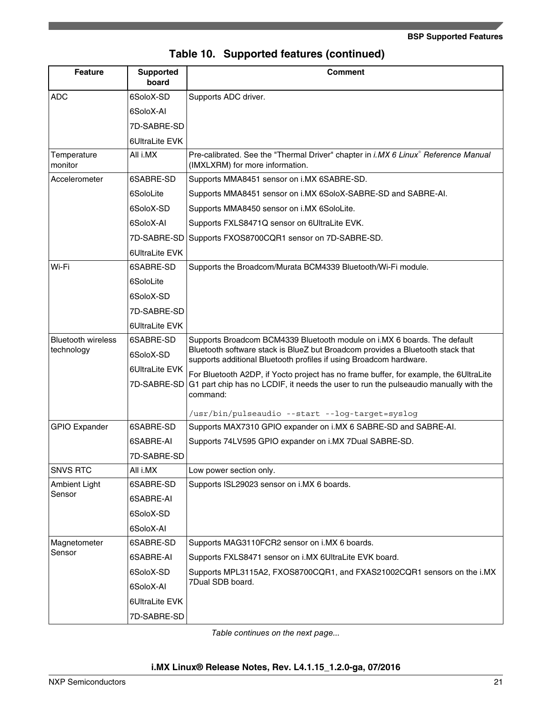|  | Table 10. Supported features (continued) |  |  |
|--|------------------------------------------|--|--|
|--|------------------------------------------|--|--|

| <b>Feature</b>                          | <b>Supported</b><br>board     | <b>Comment</b>                                                                                                                                                                                                                   |
|-----------------------------------------|-------------------------------|----------------------------------------------------------------------------------------------------------------------------------------------------------------------------------------------------------------------------------|
| <b>ADC</b>                              | 6SoloX-SD                     | Supports ADC driver.                                                                                                                                                                                                             |
|                                         | 6SoloX-AI                     |                                                                                                                                                                                                                                  |
|                                         | 7D-SABRE-SD                   |                                                                                                                                                                                                                                  |
|                                         | 6UltraLite EVK                |                                                                                                                                                                                                                                  |
| Temperature<br>monitor                  | All i.MX                      | Pre-calibrated. See the "Thermal Driver" chapter in i.MX 6 Linux <sup>®</sup> Reference Manual<br>(IMXLXRM) for more information.                                                                                                |
| Accelerometer                           | 6SABRE-SD                     | Supports MMA8451 sensor on i.MX 6SABRE-SD.                                                                                                                                                                                       |
|                                         | 6SoloLite                     | Supports MMA8451 sensor on i.MX 6SoloX-SABRE-SD and SABRE-AI.                                                                                                                                                                    |
|                                         | 6SoloX-SD                     | Supports MMA8450 sensor on i.MX 6SoloLite.                                                                                                                                                                                       |
|                                         | 6SoloX-AI                     | Supports FXLS8471Q sensor on 6UltraLite EVK.                                                                                                                                                                                     |
|                                         | 7D-SABRE-SD                   | Supports FXOS8700CQR1 sensor on 7D-SABRE-SD.                                                                                                                                                                                     |
|                                         | 6UltraLite EVK                |                                                                                                                                                                                                                                  |
| Wi-Fi                                   | 6SABRE-SD                     | Supports the Broadcom/Murata BCM4339 Bluetooth/Wi-Fi module.                                                                                                                                                                     |
|                                         | 6SoloLite                     |                                                                                                                                                                                                                                  |
|                                         | 6SoloX-SD                     |                                                                                                                                                                                                                                  |
|                                         | 7D-SABRE-SD                   |                                                                                                                                                                                                                                  |
|                                         | 6UltraLite EVK                |                                                                                                                                                                                                                                  |
| <b>Bluetooth wireless</b><br>technology | 6SABRE-SD<br>6SoloX-SD        | Supports Broadcom BCM4339 Bluetooth module on i.MX 6 boards. The default<br>Bluetooth software stack is BlueZ but Broadcom provides a Bluetooth stack that<br>supports additional Bluetooth profiles if using Broadcom hardware. |
|                                         | 6UltraLite EVK<br>7D-SABRE-SD | For Bluetooth A2DP, if Yocto project has no frame buffer, for example, the 6UltraLite<br>G1 part chip has no LCDIF, it needs the user to run the pulseaudio manually with the<br>command:                                        |
|                                         |                               | /usr/bin/pulseaudio --start --log-target=syslog                                                                                                                                                                                  |
| <b>GPIO Expander</b>                    | 6SABRE-SD                     | Supports MAX7310 GPIO expander on i.MX 6 SABRE-SD and SABRE-AI.                                                                                                                                                                  |
|                                         | 6SABRE-AI                     | Supports 74LV595 GPIO expander on i.MX 7Dual SABRE-SD.                                                                                                                                                                           |
|                                         | 7D-SABRE-SD                   |                                                                                                                                                                                                                                  |
| <b>SNVS RTC</b>                         | All i.MX                      | Low power section only.                                                                                                                                                                                                          |
| <b>Ambient Light</b>                    | 6SABRE-SD                     | Supports ISL29023 sensor on i.MX 6 boards.                                                                                                                                                                                       |
| Sensor                                  | 6SABRE-AI                     |                                                                                                                                                                                                                                  |
|                                         | 6SoloX-SD                     |                                                                                                                                                                                                                                  |
|                                         | 6SoloX-AI                     |                                                                                                                                                                                                                                  |
| Magnetometer                            | 6SABRE-SD                     | Supports MAG3110FCR2 sensor on i.MX 6 boards.                                                                                                                                                                                    |
| Sensor                                  | 6SABRE-AI                     | Supports FXLS8471 sensor on i.MX 6UltraLite EVK board.                                                                                                                                                                           |
|                                         | 6SoloX-SD                     | Supports MPL3115A2, FXOS8700CQR1, and FXAS21002CQR1 sensors on the i.MX                                                                                                                                                          |
|                                         | 6SoloX-AI                     | 7Dual SDB board.                                                                                                                                                                                                                 |
|                                         | 6UltraLite EVK                |                                                                                                                                                                                                                                  |
|                                         | 7D-SABRE-SD                   |                                                                                                                                                                                                                                  |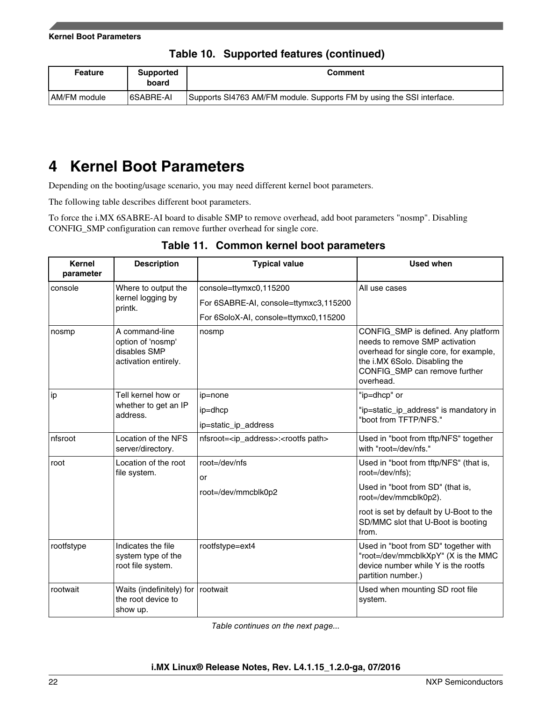|  |  |  | Table 10. Supported features (continued) |
|--|--|--|------------------------------------------|
|--|--|--|------------------------------------------|

<span id="page-21-0"></span>

| <b>Feature</b> | <b>Supported</b><br>board | <b>Comment</b>                                                        |
|----------------|---------------------------|-----------------------------------------------------------------------|
| AM/FM module   | 6SABRE-AI                 | Supports SI4763 AM/FM module. Supports FM by using the SSI interface. |

## **4 Kernel Boot Parameters**

Depending on the booting/usage scenario, you may need different kernel boot parameters.

The following table describes different boot parameters.

To force the i.MX 6SABRE-AI board to disable SMP to remove overhead, add boot parameters "nosmp". Disabling CONFIG\_SMP configuration can remove further overhead for single core.

| <b>Kernel</b><br>parameter | <b>Description</b>                                                          | <b>Typical value</b>                                         | <b>Used when</b>                                                                                                                                                                               |
|----------------------------|-----------------------------------------------------------------------------|--------------------------------------------------------------|------------------------------------------------------------------------------------------------------------------------------------------------------------------------------------------------|
| console                    | Where to output the                                                         | console=ttymxc0,115200                                       | All use cases                                                                                                                                                                                  |
|                            | kernel logging by<br>printk.                                                | For 6SABRE-AI, console=ttymxc3,115200                        |                                                                                                                                                                                                |
|                            |                                                                             | For 6SoloX-AI, console=ttymxc0,115200                        |                                                                                                                                                                                                |
| nosmp                      | A command-line<br>option of 'nosmp'<br>disables SMP<br>activation entirely. | nosmp                                                        | CONFIG_SMP is defined. Any platform<br>needs to remove SMP activation<br>overhead for single core, for example,<br>the i.MX 6Solo. Disabling the<br>CONFIG_SMP can remove further<br>overhead. |
| ip                         | Tell kernel how or                                                          | ip=none                                                      | "ip=dhcp" or                                                                                                                                                                                   |
|                            | whether to get an IP<br>address.                                            | ip=dhcp                                                      | "ip=static_ip_address" is mandatory in                                                                                                                                                         |
|                            |                                                                             | ip=static_ip_address                                         | "boot from TFTP/NFS."                                                                                                                                                                          |
| nfsroot                    | Location of the NFS<br>server/directory.                                    | nfsroot= <ip_address>:<rootfs path=""></rootfs></ip_address> | Used in "boot from tftp/NFS" together<br>with "root=/dev/nfs."                                                                                                                                 |
| root                       | Location of the root<br>file system.                                        | $root = /dev/nfs$<br>or                                      | Used in "boot from tftp/NFS" (that is,<br>root=/dev/nfs);                                                                                                                                      |
|                            |                                                                             | root=/dev/mmcblk0p2                                          | Used in "boot from SD" (that is,<br>root=/dev/mmcblk0p2).                                                                                                                                      |
|                            |                                                                             |                                                              | root is set by default by U-Boot to the<br>SD/MMC slot that U-Boot is booting<br>from.                                                                                                         |
| rootfstype                 | Indicates the file<br>system type of the<br>root file system.               | rootfstype=ext4                                              | Used in "boot from SD" together with<br>"root=/dev/mmcblkXpY" (X is the MMC<br>device number while Y is the rootfs<br>partition number.)                                                       |
| rootwait                   | Waits (indefinitely) for<br>the root device to<br>show up.                  | rootwait                                                     | Used when mounting SD root file<br>system.                                                                                                                                                     |

**Table 11. Common kernel boot parameters**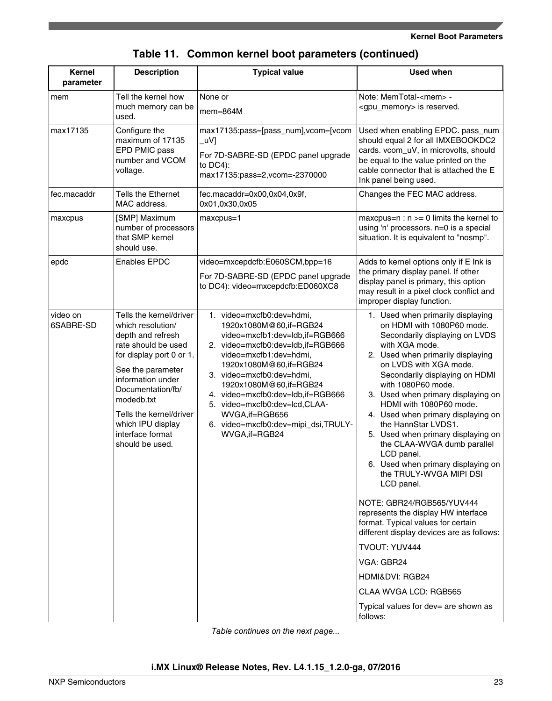#### **Kernel Boot Parameters**

| Kernel<br>parameter   | <b>Description</b>                                                                                                                                                                                                                                                                       | <b>Typical value</b>                                                                                                                                                                                                                                                                                                                                                                    | <b>Used when</b>                                                                                                                                                                                                                                                                                                                                                                                                                                                                                                                                                                                                                                                                                                                                                                                                                 |  |
|-----------------------|------------------------------------------------------------------------------------------------------------------------------------------------------------------------------------------------------------------------------------------------------------------------------------------|-----------------------------------------------------------------------------------------------------------------------------------------------------------------------------------------------------------------------------------------------------------------------------------------------------------------------------------------------------------------------------------------|----------------------------------------------------------------------------------------------------------------------------------------------------------------------------------------------------------------------------------------------------------------------------------------------------------------------------------------------------------------------------------------------------------------------------------------------------------------------------------------------------------------------------------------------------------------------------------------------------------------------------------------------------------------------------------------------------------------------------------------------------------------------------------------------------------------------------------|--|
| mem                   | Tell the kernel how<br>much memory can be<br>used.                                                                                                                                                                                                                                       | None or<br>$m$ em=864M                                                                                                                                                                                                                                                                                                                                                                  | Note: MemTotal- <mem> -<br/><gpu_memory> is reserved.</gpu_memory></mem>                                                                                                                                                                                                                                                                                                                                                                                                                                                                                                                                                                                                                                                                                                                                                         |  |
| max17135              | Configure the<br>maximum of 17135<br>EPD PMIC pass<br>number and VCOM<br>voltage.                                                                                                                                                                                                        | max17135:pass=[pass_num],vcom=[vcom<br>_uV]<br>For 7D-SABRE-SD (EPDC panel upgrade<br>to $DC4$ :<br>max17135:pass=2,vcom=-2370000                                                                                                                                                                                                                                                       | Used when enabling EPDC. pass_num<br>should equal 2 for all IMXEBOOKDC2<br>cards. vcom_uV, in microvolts, should<br>be equal to the value printed on the<br>cable connector that is attached the E<br>Ink panel being used.                                                                                                                                                                                                                                                                                                                                                                                                                                                                                                                                                                                                      |  |
| fec.macaddr           | <b>Tells the Ethernet</b><br>MAC address.                                                                                                                                                                                                                                                | fec.macaddr=0x00,0x04,0x9f,<br>0x01,0x30,0x05                                                                                                                                                                                                                                                                                                                                           | Changes the FEC MAC address.                                                                                                                                                                                                                                                                                                                                                                                                                                                                                                                                                                                                                                                                                                                                                                                                     |  |
| maxcpus               | [SMP] Maximum<br>number of processors<br>that SMP kernel<br>should use.                                                                                                                                                                                                                  | maxcpus=1                                                                                                                                                                                                                                                                                                                                                                               | maxcpus= $n : n >= 0$ limits the kernel to<br>using 'n' processors. n=0 is a special<br>situation. It is equivalent to "nosmp".                                                                                                                                                                                                                                                                                                                                                                                                                                                                                                                                                                                                                                                                                                  |  |
| epdc                  | <b>Enables EPDC</b>                                                                                                                                                                                                                                                                      | video=mxcepdcfb:E060SCM,bpp=16<br>For 7D-SABRE-SD (EPDC panel upgrade<br>to DC4): video=mxcepdcfb:ED060XC8                                                                                                                                                                                                                                                                              | Adds to kernel options only if E Ink is<br>the primary display panel. If other<br>display panel is primary, this option<br>may result in a pixel clock conflict and<br>improper display function.                                                                                                                                                                                                                                                                                                                                                                                                                                                                                                                                                                                                                                |  |
| video on<br>6SABRE-SD | Tells the kernel/driver<br>which resolution/<br>depth and refresh<br>rate should be used<br>for display port 0 or 1.<br>See the parameter<br>information under<br>Documentation/fb/<br>modedb.txt<br>Tells the kernel/driver<br>which IPU display<br>interface format<br>should be used. | 1. video=mxcfb0:dev=hdmi,<br>1920x1080M@60,if=RGB24<br>video=mxcfb1:dev=ldb,if=RGB666<br>2. video=mxcfb0:dev=ldb,if=RGB666<br>video=mxcfb1:dev=hdmi,<br>1920x1080M@60,if=RGB24<br>3. video=mxcfb0:dev=hdmi,<br>1920x1080M@60,if=RGB24<br>4. video=mxcfb0:dev=ldb,if=RGB666<br>5. video=mxcfb0:dev=lcd,CLAA-<br>WVGA, if=RGB656<br>6. video=mxcfb0:dev=mipi_dsi,TRULY-<br>WVGA, if=RGB24 | 1. Used when primarily displaying<br>on HDMI with 1080P60 mode.<br>Secondarily displaying on LVDS<br>with XGA mode.<br>2. Used when primarily displaying<br>on LVDS with XGA mode.<br>Secondarily displaying on HDMI<br>with 1080P60 mode.<br>3. Used when primary displaying on<br>HDMI with 1080P60 mode.<br>4. Used when primary displaying on<br>the HannStar LVDS1.<br>5. Used when primary displaying on<br>the CLAA-WVGA dumb parallel<br>LCD panel.<br>6. Used when primary displaying on<br>the TRULY-WVGA MIPI DSI<br>LCD panel.<br>NOTE: GBR24/RGB565/YUV444<br>represents the display HW interface<br>format. Typical values for certain<br>different display devices are as follows:<br>TVOUT: YUV444<br>VGA: GBR24<br>HDMI&DVI: RGB24<br>CLAA WVGA LCD: RGB565<br>Typical values for dev= are shown as<br>follows: |  |

## **Table 11. Common kernel boot parameters (continued)**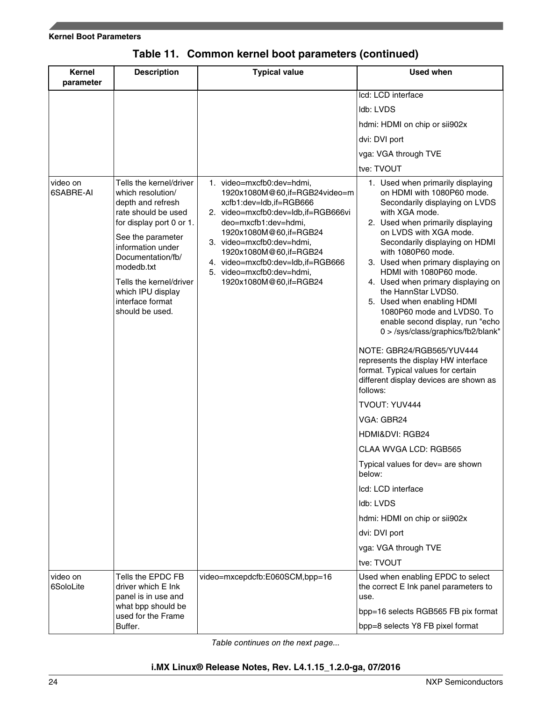#### **Kernel Boot Parameters**

| <b>Kernel</b><br>parameter | <b>Description</b>                                                                                                                                                                                                                                                                       | <b>Typical value</b>                                                                                                                                                                                                                                                                                                              | <b>Used when</b>                                                                                                                                                                                                                                                                                                                                                                                                                                                                                                                                                                                                                                                                                                                                                                                                                                                                                                                    |
|----------------------------|------------------------------------------------------------------------------------------------------------------------------------------------------------------------------------------------------------------------------------------------------------------------------------------|-----------------------------------------------------------------------------------------------------------------------------------------------------------------------------------------------------------------------------------------------------------------------------------------------------------------------------------|-------------------------------------------------------------------------------------------------------------------------------------------------------------------------------------------------------------------------------------------------------------------------------------------------------------------------------------------------------------------------------------------------------------------------------------------------------------------------------------------------------------------------------------------------------------------------------------------------------------------------------------------------------------------------------------------------------------------------------------------------------------------------------------------------------------------------------------------------------------------------------------------------------------------------------------|
|                            |                                                                                                                                                                                                                                                                                          |                                                                                                                                                                                                                                                                                                                                   | Icd: LCD interface                                                                                                                                                                                                                                                                                                                                                                                                                                                                                                                                                                                                                                                                                                                                                                                                                                                                                                                  |
|                            |                                                                                                                                                                                                                                                                                          |                                                                                                                                                                                                                                                                                                                                   | Idb: LVDS                                                                                                                                                                                                                                                                                                                                                                                                                                                                                                                                                                                                                                                                                                                                                                                                                                                                                                                           |
|                            |                                                                                                                                                                                                                                                                                          |                                                                                                                                                                                                                                                                                                                                   | hdmi: HDMI on chip or sii902x                                                                                                                                                                                                                                                                                                                                                                                                                                                                                                                                                                                                                                                                                                                                                                                                                                                                                                       |
|                            |                                                                                                                                                                                                                                                                                          |                                                                                                                                                                                                                                                                                                                                   | dvi: DVI port                                                                                                                                                                                                                                                                                                                                                                                                                                                                                                                                                                                                                                                                                                                                                                                                                                                                                                                       |
|                            |                                                                                                                                                                                                                                                                                          |                                                                                                                                                                                                                                                                                                                                   | vga: VGA through TVE                                                                                                                                                                                                                                                                                                                                                                                                                                                                                                                                                                                                                                                                                                                                                                                                                                                                                                                |
|                            |                                                                                                                                                                                                                                                                                          |                                                                                                                                                                                                                                                                                                                                   | tve: TVOUT                                                                                                                                                                                                                                                                                                                                                                                                                                                                                                                                                                                                                                                                                                                                                                                                                                                                                                                          |
| video on<br>6SABRE-AI      | Tells the kernel/driver<br>which resolution/<br>depth and refresh<br>rate should be used<br>for display port 0 or 1.<br>See the parameter<br>information under<br>Documentation/fb/<br>modedb.txt<br>Tells the kernel/driver<br>which IPU display<br>interface format<br>should be used. | 1. video=mxcfb0:dev=hdmi,<br>1920x1080M@60,if=RGB24video=m<br>xcfb1:dev=ldb,if=RGB666<br>2. video=mxcfb0:dev=ldb,if=RGB666vi<br>deo=mxcfb1:dev=hdmi,<br>1920x1080M@60,if=RGB24<br>3. video=mxcfb0:dev=hdmi,<br>1920x1080M@60,if=RGB24<br>4. video=mxcfb0:dev=ldb,if=RGB666<br>5. video=mxcfb0:dev=hdmi,<br>1920x1080M@60,if=RGB24 | 1. Used when primarily displaying<br>on HDMI with 1080P60 mode.<br>Secondarily displaying on LVDS<br>with XGA mode.<br>2. Used when primarily displaying<br>on LVDS with XGA mode.<br>Secondarily displaying on HDMI<br>with 1080P60 mode.<br>3. Used when primary displaying on<br>HDMI with 1080P60 mode.<br>4. Used when primary displaying on<br>the HannStar LVDS0.<br>5. Used when enabling HDMI<br>1080P60 mode and LVDS0. To<br>enable second display, run "echo<br>0 > /sys/class/graphics/fb2/blank"<br>NOTE: GBR24/RGB565/YUV444<br>represents the display HW interface<br>format. Typical values for certain<br>different display devices are shown as<br>follows:<br>TVOUT: YUV444<br>VGA: GBR24<br>HDMI&DVI: RGB24<br>CLAA WVGA LCD: RGB565<br>Typical values for dev= are shown<br>below:<br>Icd: LCD interface<br>Idb: LVDS<br>hdmi: HDMI on chip or sii902x<br>dvi: DVI port<br>vga: VGA through TVE<br>tve: TVOUT |
| video on<br>6SoloLite      | Tells the EPDC FB<br>driver which E Ink<br>panel is in use and                                                                                                                                                                                                                           | video=mxcepdcfb:E060SCM,bpp=16                                                                                                                                                                                                                                                                                                    | Used when enabling EPDC to select<br>the correct E Ink panel parameters to<br>use.                                                                                                                                                                                                                                                                                                                                                                                                                                                                                                                                                                                                                                                                                                                                                                                                                                                  |
|                            | what bpp should be                                                                                                                                                                                                                                                                       |                                                                                                                                                                                                                                                                                                                                   | bpp=16 selects RGB565 FB pix format                                                                                                                                                                                                                                                                                                                                                                                                                                                                                                                                                                                                                                                                                                                                                                                                                                                                                                 |
|                            | used for the Frame<br>Buffer.                                                                                                                                                                                                                                                            |                                                                                                                                                                                                                                                                                                                                   | bpp=8 selects Y8 FB pixel format                                                                                                                                                                                                                                                                                                                                                                                                                                                                                                                                                                                                                                                                                                                                                                                                                                                                                                    |

## **Table 11. Common kernel boot parameters (continued)**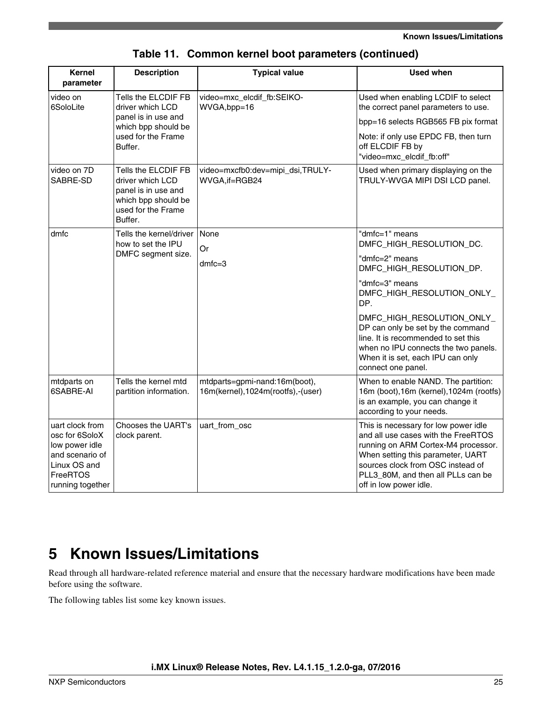#### **Known Issues/Limitations**

<span id="page-24-0"></span>

| Kernel<br>parameter                                                                                                    | <b>Description</b>                                                                                                     | <b>Typical value</b>                                                  | <b>Used when</b>                                                                                                                                                                                                                                             |
|------------------------------------------------------------------------------------------------------------------------|------------------------------------------------------------------------------------------------------------------------|-----------------------------------------------------------------------|--------------------------------------------------------------------------------------------------------------------------------------------------------------------------------------------------------------------------------------------------------------|
| video on<br>6SoloLite                                                                                                  | Tells the ELCDIF FB<br>driver which LCD                                                                                | video=mxc_elcdif_fb:SEIKO-<br>WVGA,bpp=16                             | Used when enabling LCDIF to select<br>the correct panel parameters to use.                                                                                                                                                                                   |
|                                                                                                                        | panel is in use and<br>which bpp should be                                                                             |                                                                       | bpp=16 selects RGB565 FB pix format                                                                                                                                                                                                                          |
|                                                                                                                        | used for the Frame<br>Buffer.                                                                                          |                                                                       | Note: if only use EPDC FB, then turn<br>off ELCDIF FB by<br>"video=mxc_elcdif_fb:off"                                                                                                                                                                        |
| video on 7D<br>SABRE-SD                                                                                                | Tells the ELCDIF FB<br>driver which LCD<br>panel is in use and<br>which bpp should be<br>used for the Frame<br>Buffer. | video=mxcfb0:dev=mipi_dsi,TRULY-<br>WVGA, if=RGB24                    | Used when primary displaying on the<br>TRULY-WVGA MIPI DSI LCD panel.                                                                                                                                                                                        |
| dmfc                                                                                                                   | Tells the kernel/driver<br>how to set the IPU                                                                          | None<br>Or                                                            | "dmfc=1" means<br>DMFC_HIGH_RESOLUTION_DC.                                                                                                                                                                                                                   |
|                                                                                                                        | DMFC segment size.                                                                                                     | $dmfc=3$                                                              | "dmfc=2" means<br>DMFC_HIGH_RESOLUTION_DP.                                                                                                                                                                                                                   |
|                                                                                                                        |                                                                                                                        |                                                                       | "dmfc=3" means<br>DMFC_HIGH_RESOLUTION_ONLY_<br>DP.                                                                                                                                                                                                          |
|                                                                                                                        |                                                                                                                        |                                                                       | DMFC_HIGH_RESOLUTION_ONLY_<br>DP can only be set by the command<br>line. It is recommended to set this<br>when no IPU connects the two panels.<br>When it is set, each IPU can only<br>connect one panel.                                                    |
| mtdparts on<br>6SABRE-AI                                                                                               | Tells the kernel mtd<br>partition information.                                                                         | mtdparts=gpmi-nand:16m(boot),<br>16m(kernel), 1024m(rootfs), - (user) | When to enable NAND. The partition:<br>16m (boot), 16m (kernel), 1024m (rootfs)<br>is an example, you can change it<br>according to your needs.                                                                                                              |
| uart clock from<br>osc for 6SoloX<br>low power idle<br>and scenario of<br>Linux OS and<br>FreeRTOS<br>running together | Chooses the UART's<br>clock parent.                                                                                    | uart_from_osc                                                         | This is necessary for low power idle<br>and all use cases with the FreeRTOS<br>running on ARM Cortex-M4 processor.<br>When setting this parameter, UART<br>sources clock from OSC instead of<br>PLL3_80M, and then all PLLs can be<br>off in low power idle. |

### **Table 11. Common kernel boot parameters (continued)**

## **5 Known Issues/Limitations**

Read through all hardware-related reference material and ensure that the necessary hardware modifications have been made before using the software.

The following tables list some key known issues.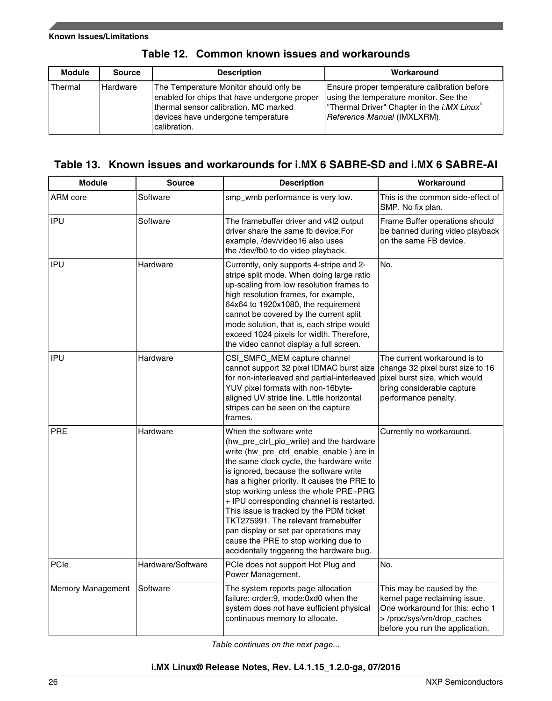| <b>Module</b> | <b>Source</b> | <b>Description</b>                                                                                                                                                                    | Workaround                                                                                                                                                          |
|---------------|---------------|---------------------------------------------------------------------------------------------------------------------------------------------------------------------------------------|---------------------------------------------------------------------------------------------------------------------------------------------------------------------|
| Thermal       | Hardware      | The Temperature Monitor should only be<br>enabled for chips that have undergone proper<br>thermal sensor calibration. MC marked<br>devices have undergone temperature<br>calibration. | Ensure proper temperature calibration before<br>using the temperature monitor. See the<br>Thermal Driver" Chapter in the i.MX Linux®<br>Reference Manual (IMXLXRM). |

### **Table 12. Common known issues and workarounds**

### **Table 13. Known issues and workarounds for i.MX 6 SABRE-SD and i.MX 6 SABRE-AI**

| <b>Module</b>     | <b>Source</b>                                                                                                                                                      | <b>Description</b>                                                                                                                                                                                                                                                                                                                                                                                                                                                                                                                                         | Workaround                                                                                                                                                    |
|-------------------|--------------------------------------------------------------------------------------------------------------------------------------------------------------------|------------------------------------------------------------------------------------------------------------------------------------------------------------------------------------------------------------------------------------------------------------------------------------------------------------------------------------------------------------------------------------------------------------------------------------------------------------------------------------------------------------------------------------------------------------|---------------------------------------------------------------------------------------------------------------------------------------------------------------|
| ARM core          | Software                                                                                                                                                           | smp_wmb performance is very low.                                                                                                                                                                                                                                                                                                                                                                                                                                                                                                                           | This is the common side-effect of<br>SMP. No fix plan.                                                                                                        |
| <b>IPU</b>        | Software<br>The framebuffer driver and v4I2 output<br>driver share the same fb device.For<br>example, /dev/video16 also uses<br>the /dev/fb0 to do video playback. |                                                                                                                                                                                                                                                                                                                                                                                                                                                                                                                                                            | Frame Buffer operations should<br>be banned during video playback<br>on the same FB device.                                                                   |
| IPU               | Hardware                                                                                                                                                           | Currently, only supports 4-stripe and 2-<br>stripe split mode. When doing large ratio<br>up-scaling from low resolution frames to<br>high resolution frames, for example,<br>64x64 to 1920x1080, the requirement<br>cannot be covered by the current split<br>mode solution, that is, each stripe would<br>exceed 1024 pixels for width. Therefore,<br>the video cannot display a full screen.                                                                                                                                                             | No.                                                                                                                                                           |
| IPU               | Hardware                                                                                                                                                           | CSI_SMFC_MEM capture channel<br>cannot support 32 pixel IDMAC burst size<br>for non-interleaved and partial-interleaved<br>YUV pixel formats with non-16byte-<br>aligned UV stride line. Little horizontal<br>stripes can be seen on the capture<br>frames.                                                                                                                                                                                                                                                                                                | The current workaround is to<br>change 32 pixel burst size to 16<br>pixel burst size, which would<br>bring considerable capture<br>performance penalty.       |
| <b>PRE</b>        | Hardware                                                                                                                                                           | When the software write<br>(hw_pre_ctrl_pio_write) and the hardware<br>write (hw_pre_ctrl_enable_enable) are in<br>the same clock cycle, the hardware write<br>is ignored, because the software write<br>has a higher priority. It causes the PRE to<br>stop working unless the whole PRE+PRG<br>+ IPU corresponding channel is restarted.<br>This issue is tracked by the PDM ticket<br>TKT275991. The relevant framebuffer<br>pan display or set par operations may<br>cause the PRE to stop working due to<br>accidentally triggering the hardware bug. | Currently no workaround.                                                                                                                                      |
| PCIe              | Hardware/Software                                                                                                                                                  | PCIe does not support Hot Plug and<br>Power Management.                                                                                                                                                                                                                                                                                                                                                                                                                                                                                                    | No.                                                                                                                                                           |
| Memory Management | Software                                                                                                                                                           | The system reports page allocation<br>failure: order:9, mode:0xd0 when the<br>system does not have sufficient physical<br>continuous memory to allocate.                                                                                                                                                                                                                                                                                                                                                                                                   | This may be caused by the<br>kernel page reclaiming issue.<br>One workaround for this: echo 1<br>>/proc/sys/vm/drop_caches<br>before you run the application. |

*Table continues on the next page...*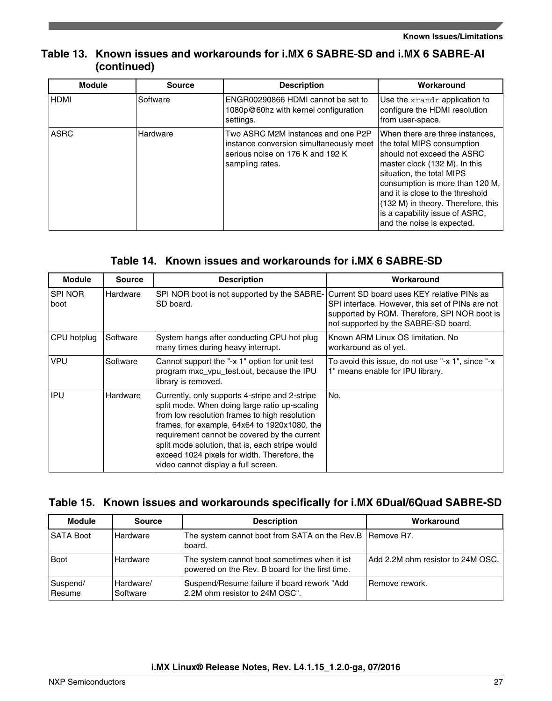### **Table 13. Known issues and workarounds for i.MX 6 SABRE-SD and i.MX 6 SABRE-AI (continued)**

| <b>Module</b> | <b>Source</b> | <b>Description</b>                                                                                                                   | Workaround                                                                                                                                                                                                                                                                                                                             |
|---------------|---------------|--------------------------------------------------------------------------------------------------------------------------------------|----------------------------------------------------------------------------------------------------------------------------------------------------------------------------------------------------------------------------------------------------------------------------------------------------------------------------------------|
| <b>HDMI</b>   | Software      | ENGR00290866 HDMI cannot be set to<br>1080p@60hz with kernel configuration<br>settings.                                              | Use the xrandr application to<br>configure the HDMI resolution<br>from user-space.                                                                                                                                                                                                                                                     |
| <b>ASRC</b>   | Hardware      | Two ASRC M2M instances and one P2P<br>instance conversion simultaneously meet<br>serious noise on 176 K and 192 K<br>sampling rates. | When there are three instances.<br>the total MIPS consumption<br>should not exceed the ASRC<br>master clock (132 M). In this<br>situation, the total MIPS<br>consumption is more than 120 M,<br>and it is close to the threshold<br>(132 M) in theory. Therefore, this<br>is a capability issue of ASRC,<br>and the noise is expected. |

### **Table 14. Known issues and workarounds for i.MX 6 SABRE-SD**

| <b>Module</b>          | <b>Source</b> | <b>Description</b>                                                                                                                                                                                                                                                                                                                                                                         | Workaround                                                                                                                                                                             |
|------------------------|---------------|--------------------------------------------------------------------------------------------------------------------------------------------------------------------------------------------------------------------------------------------------------------------------------------------------------------------------------------------------------------------------------------------|----------------------------------------------------------------------------------------------------------------------------------------------------------------------------------------|
| <b>SPI NOR</b><br>boot | Hardware      | SPI NOR boot is not supported by the SABRE-<br>SD board.                                                                                                                                                                                                                                                                                                                                   | Current SD board uses KEY relative PINs as<br>SPI interface. However, this set of PINs are not<br>supported by ROM. Therefore, SPI NOR boot is<br>not supported by the SABRE-SD board. |
| CPU hotplug            | Software      | System hangs after conducting CPU hot plug<br>many times during heavy interrupt.                                                                                                                                                                                                                                                                                                           | Known ARM Linux OS limitation. No<br>workaround as of yet.                                                                                                                             |
| <b>VPU</b>             | Software      | Cannot support the "-x 1" option for unit test<br>program mxc_vpu_test.out, because the IPU<br>library is removed.                                                                                                                                                                                                                                                                         | To avoid this issue, do not use "-x 1", since "-x<br>1" means enable for IPU library.                                                                                                  |
| <b>IPU</b>             | Hardware      | Currently, only supports 4-stripe and 2-stripe<br>split mode. When doing large ratio up-scaling<br>from low resolution frames to high resolution<br>frames, for example, 64x64 to 1920x1080, the<br>requirement cannot be covered by the current<br>split mode solution, that is, each stripe would<br>exceed 1024 pixels for width. Therefore, the<br>video cannot display a full screen. | No.                                                                                                                                                                                    |

### **Table 15. Known issues and workarounds specifically for i.MX 6Dual/6Quad SABRE-SD**

| Module                    | <b>Source</b>         | <b>Description</b>                                                                              | Workaround                        |
|---------------------------|-----------------------|-------------------------------------------------------------------------------------------------|-----------------------------------|
| <b>SATA Boot</b>          | Hardware              | The system cannot boot from SATA on the Rev.B   Remove R7.<br>board.                            |                                   |
| l Boot                    | Hardware              | The system cannot boot sometimes when it ist<br>powered on the Rev. B board for the first time. | Add 2.2M ohm resistor to 24M OSC. |
| Suspend/<br><b>Resume</b> | Hardware/<br>Software | Suspend/Resume failure if board rework "Add"<br>2.2M ohm resistor to 24M OSC".                  | Remove rework.                    |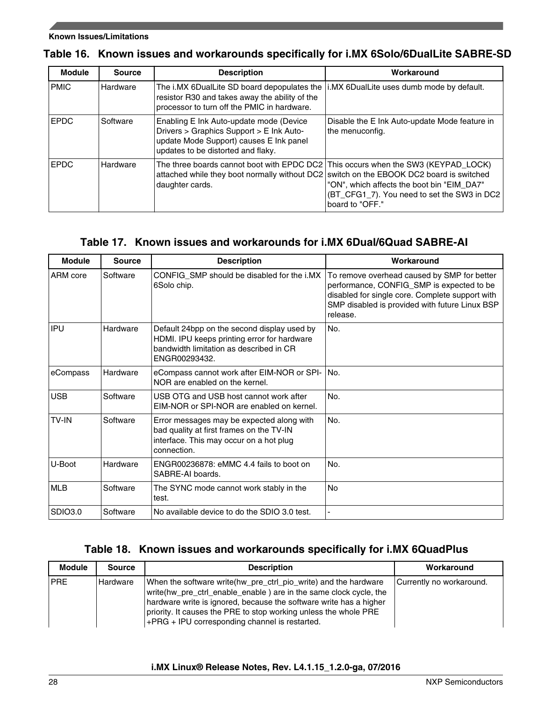#### **Known Issues/Limitations**

|  |  |  |  | Table 16. Known issues and workarounds specifically for i.MX 6Solo/6DualLite SABRE-SD |  |
|--|--|--|--|---------------------------------------------------------------------------------------|--|
|--|--|--|--|---------------------------------------------------------------------------------------|--|

| <b>Module</b> | <b>Source</b> | <b>Description</b>                                                                                                                                                                                | Workaround                                                                                                   |
|---------------|---------------|---------------------------------------------------------------------------------------------------------------------------------------------------------------------------------------------------|--------------------------------------------------------------------------------------------------------------|
| <b>PMIC</b>   | Hardware      | The i.MX 6DualLite SD board depopulates the<br>resistor R30 and takes away the ability of the<br>processor to turn off the PMIC in hardware.                                                      | i.MX 6DualLite uses dumb mode by default.                                                                    |
| <b>EPDC</b>   | Software      | Enabling E Ink Auto-update mode (Device<br>Drivers > Graphics Support > E Ink Auto-<br>update Mode Support) causes E Ink panel<br>updates to be distorted and flaky.                              | Disable the E Ink Auto-update Mode feature in<br>the menuconfig.                                             |
| <b>EPDC</b>   | Hardware      | The three boards cannot boot with EPDC DC2   This occurs when the SW3 (KEYPAD_LOCK)<br>attached while they boot normally without DC2 switch on the EBOOK DC2 board is switched<br>daughter cards. | "ON", which affects the boot bin "EIM_DA7"<br>(BT_CFG1_7). You need to set the SW3 in DC2<br>board to "OFF." |

### **Table 17. Known issues and workarounds for i.MX 6Dual/6Quad SABRE-AI**

| <b>Module</b> | <b>Source</b> | <b>Description</b>                                                                                                                                     | Workaround                                                                                                                                                                                                |
|---------------|---------------|--------------------------------------------------------------------------------------------------------------------------------------------------------|-----------------------------------------------------------------------------------------------------------------------------------------------------------------------------------------------------------|
| ARM core      | Software      | CONFIG_SMP should be disabled for the i.MX<br>6Solo chip.                                                                                              | To remove overhead caused by SMP for better<br>performance, CONFIG_SMP is expected to be<br>disabled for single core. Complete support with<br>SMP disabled is provided with future Linux BSP<br>release. |
| <b>IPU</b>    | Hardware      | Default 24bpp on the second display used by<br>HDMI. IPU keeps printing error for hardware<br>bandwidth limitation as described in CR<br>ENGR00293432. | No.                                                                                                                                                                                                       |
| eCompass      | Hardware      | eCompass cannot work after EIM-NOR or SPI-<br>NOR are enabled on the kernel.                                                                           | No.                                                                                                                                                                                                       |
| <b>USB</b>    | Software      | USB OTG and USB host cannot work after<br>EIM-NOR or SPI-NOR are enabled on kernel.                                                                    | No.                                                                                                                                                                                                       |
| <b>TV-IN</b>  | Software      | Error messages may be expected along with<br>bad quality at first frames on the TV-IN<br>interface. This may occur on a hot plug<br>connection.        | No.                                                                                                                                                                                                       |
| U-Boot        | Hardware      | ENGR00236878: eMMC 4.4 fails to boot on<br>SABRE-AI boards.                                                                                            | No.                                                                                                                                                                                                       |
| <b>MLB</b>    | Software      | The SYNC mode cannot work stably in the<br>test.                                                                                                       | <b>No</b>                                                                                                                                                                                                 |
| SDIO3.0       | Software      | No available device to do the SDIO 3.0 test.                                                                                                           |                                                                                                                                                                                                           |

### **Table 18. Known issues and workarounds specifically for i.MX 6QuadPlus**

| <b>Module</b> | <b>Source</b> | <b>Description</b>                                                                                                                                                                                                                                                                                                               | Workaround               |
|---------------|---------------|----------------------------------------------------------------------------------------------------------------------------------------------------------------------------------------------------------------------------------------------------------------------------------------------------------------------------------|--------------------------|
| <b>PRE</b>    | Hardware      | When the software write(hw_pre_ctrl_pio_write) and the hardware<br>write(hw_pre_ctrl_enable_enable) are in the same clock cycle, the<br>hardware write is ignored, because the software write has a higher<br>priority. It causes the PRE to stop working unless the whole PRE<br>+PRG + IPU corresponding channel is restarted. | Currently no workaround. |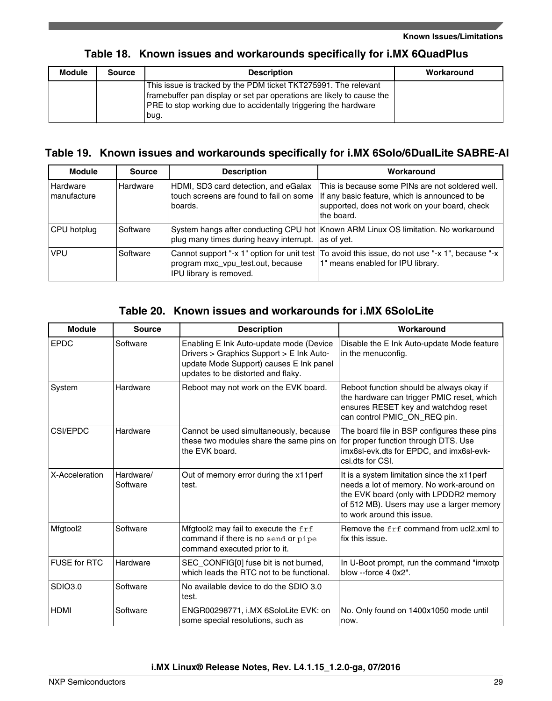### **Table 18. Known issues and workarounds specifically for i.MX 6QuadPlus**

| Module | <b>Source</b> | <b>Description</b>                                                                                                                                                                                                          | Workaround |
|--------|---------------|-----------------------------------------------------------------------------------------------------------------------------------------------------------------------------------------------------------------------------|------------|
|        |               | This issue is tracked by the PDM ticket TKT275991. The relevant<br>framebuffer pan display or set par operations are likely to cause the<br><b>PRE</b> to stop working due to accidentally triggering the hardware<br>Ibuq. |            |

### **Table 19. Known issues and workarounds specifically for i.MX 6Solo/6DualLite SABRE-AI**

| <b>Module</b>           | <b>Source</b> | <b>Description</b>                                                                                         | Workaround                                                                                                                                                        |
|-------------------------|---------------|------------------------------------------------------------------------------------------------------------|-------------------------------------------------------------------------------------------------------------------------------------------------------------------|
| Hardware<br>manufacture | Hardware      | HDMI, SD3 card detection, and eGalax<br>touch screens are found to fail on some<br>boards.                 | This is because some PINs are not soldered well.<br>If any basic feature, which is announced to be<br>supported, does not work on your board, check<br>the board. |
| CPU hotplug             | Software      | plug many times during heavy interrupt.                                                                    | System hangs after conducting CPU hot   Known ARM Linux OS limitation. No workaround<br>as of vet.                                                                |
| <b>VPU</b>              | Software      | Cannot support "-x 1" option for unit test<br>program mxc_vpu_test.out, because<br>IPU library is removed. | To avoid this issue, do not use "-x 1", because "-x  <br>1" means enabled for IPU library.                                                                        |

### **Table 20. Known issues and workarounds for i.MX 6SoloLite**

| <b>Module</b>       | <b>Source</b>         | <b>Description</b>                                                                                                                                                   | Workaround                                                                                                                                                                                                   |
|---------------------|-----------------------|----------------------------------------------------------------------------------------------------------------------------------------------------------------------|--------------------------------------------------------------------------------------------------------------------------------------------------------------------------------------------------------------|
| <b>EPDC</b>         | Software              | Enabling E Ink Auto-update mode (Device<br>Drivers > Graphics Support > E Ink Auto-<br>update Mode Support) causes E Ink panel<br>updates to be distorted and flaky. | Disable the E Ink Auto-update Mode feature<br>in the menuconfig.                                                                                                                                             |
| System              | Hardware              | Reboot may not work on the EVK board.                                                                                                                                | Reboot function should be always okay if<br>the hardware can trigger PMIC reset, which<br>ensures RESET key and watchdog reset<br>can control PMIC_ON_REQ pin.                                               |
| <b>CSI/EPDC</b>     | Hardware              | Cannot be used simultaneously, because<br>these two modules share the same pins on<br>the EVK board.                                                                 | The board file in BSP configures these pins<br>for proper function through DTS. Use<br>imx6sl-evk.dts for EPDC, and imx6sl-evk-<br>csi.dts for CSI.                                                          |
| X-Acceleration      | Hardware/<br>Software | Out of memory error during the x11perf<br>test.                                                                                                                      | It is a system limitation since the x11perf<br>needs a lot of memory. No work-around on<br>the EVK board (only with LPDDR2 memory<br>of 512 MB). Users may use a larger memory<br>to work around this issue. |
| Mfgtool2            | Software              | Mfgtool2 may fail to execute the frf<br>command if there is no send or pipe<br>command executed prior to it.                                                         | Remove the frf command from ucl2.xml to<br>fix this issue.                                                                                                                                                   |
| <b>FUSE for RTC</b> | Hardware              | SEC_CONFIG[0] fuse bit is not burned,<br>which leads the RTC not to be functional.                                                                                   | In U-Boot prompt, run the command "imxotp"<br>blow --force 4 0x2".                                                                                                                                           |
| <b>SDIO3.0</b>      | Software              | No available device to do the SDIO 3.0<br>test.                                                                                                                      |                                                                                                                                                                                                              |
| <b>HDMI</b>         | Software              | ENGR00298771, i.MX 6SoloLite EVK: on<br>some special resolutions, such as                                                                                            | No. Only found on 1400x1050 mode until<br>now.                                                                                                                                                               |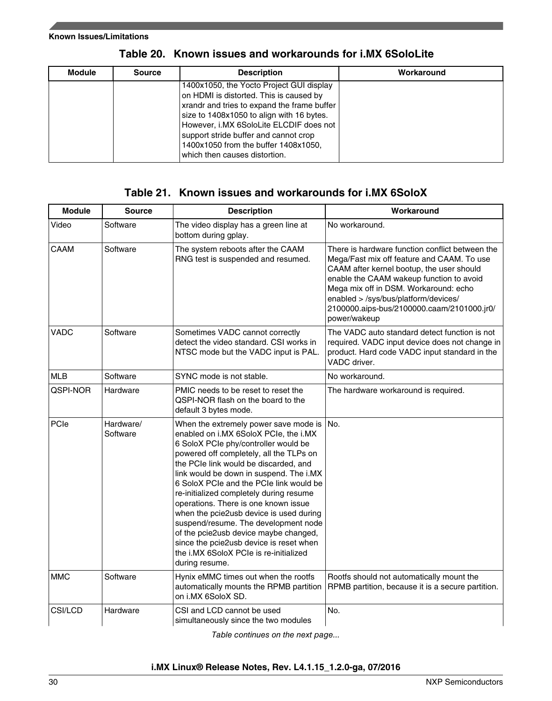| <b>Module</b> | <b>Source</b> | <b>Description</b>                                                                                                                                                                                                                                                                                                                           | Workaround |
|---------------|---------------|----------------------------------------------------------------------------------------------------------------------------------------------------------------------------------------------------------------------------------------------------------------------------------------------------------------------------------------------|------------|
|               |               | 1400x1050, the Yocto Project GUI display<br>on HDMI is distorted. This is caused by<br>xrandr and tries to expand the frame buffer<br>size to 1408x1050 to align with 16 bytes.<br>However, i.MX 6SoloLite ELCDIF does not<br>support stride buffer and cannot crop<br>1400x1050 from the buffer 1408x1050.<br>which then causes distortion. |            |

**Table 20. Known issues and workarounds for i.MX 6SoloLite**

## **Table 21. Known issues and workarounds for i.MX 6SoloX**

| <b>Module</b> | <b>Source</b>         | <b>Description</b>                                                                                                                                                                                                                                                                                                                                                                                                                                                                                                                                                                                                     | Workaround                                                                                                                                                                                                                                                                                                                            |
|---------------|-----------------------|------------------------------------------------------------------------------------------------------------------------------------------------------------------------------------------------------------------------------------------------------------------------------------------------------------------------------------------------------------------------------------------------------------------------------------------------------------------------------------------------------------------------------------------------------------------------------------------------------------------------|---------------------------------------------------------------------------------------------------------------------------------------------------------------------------------------------------------------------------------------------------------------------------------------------------------------------------------------|
| Video         | Software              | The video display has a green line at<br>bottom during gplay.                                                                                                                                                                                                                                                                                                                                                                                                                                                                                                                                                          | No workaround.                                                                                                                                                                                                                                                                                                                        |
| CAAM          | Software              | The system reboots after the CAAM<br>RNG test is suspended and resumed.                                                                                                                                                                                                                                                                                                                                                                                                                                                                                                                                                | There is hardware function conflict between the<br>Mega/Fast mix off feature and CAAM. To use<br>CAAM after kernel bootup, the user should<br>enable the CAAM wakeup function to avoid<br>Mega mix off in DSM. Workaround: echo<br>enabled > /sys/bus/platform/devices/<br>2100000.aips-bus/2100000.caam/2101000.jr0/<br>power/wakeup |
| <b>VADC</b>   | Software              | Sometimes VADC cannot correctly<br>detect the video standard. CSI works in<br>NTSC mode but the VADC input is PAL.                                                                                                                                                                                                                                                                                                                                                                                                                                                                                                     | The VADC auto standard detect function is not<br>required. VADC input device does not change in<br>product. Hard code VADC input standard in the<br>VADC driver.                                                                                                                                                                      |
| <b>MLB</b>    | Software              | SYNC mode is not stable.                                                                                                                                                                                                                                                                                                                                                                                                                                                                                                                                                                                               | No workaround.                                                                                                                                                                                                                                                                                                                        |
| QSPI-NOR      | Hardware              | PMIC needs to be reset to reset the<br>QSPI-NOR flash on the board to the<br>default 3 bytes mode.                                                                                                                                                                                                                                                                                                                                                                                                                                                                                                                     | The hardware workaround is required.                                                                                                                                                                                                                                                                                                  |
| PCIe          | Hardware/<br>Software | When the extremely power save mode is<br>enabled on i.MX 6SoloX PCIe, the i.MX<br>6 SoloX PCIe phy/controller would be<br>powered off completely, all the TLPs on<br>the PCIe link would be discarded, and<br>link would be down in suspend. The i.MX<br>6 SoloX PCIe and the PCIe link would be<br>re-initialized completely during resume<br>operations. There is one known issue<br>when the pcie2usb device is used during<br>suspend/resume. The development node<br>of the pcie2usb device maybe changed,<br>since the pcie2usb device is reset when<br>the i.MX 6SoloX PCIe is re-initialized<br>during resume. | No.                                                                                                                                                                                                                                                                                                                                   |
| <b>MMC</b>    | Software              | Hynix eMMC times out when the rootfs<br>automatically mounts the RPMB partition<br>on i.MX 6SoloX SD.                                                                                                                                                                                                                                                                                                                                                                                                                                                                                                                  | Rootfs should not automatically mount the<br>RPMB partition, because it is a secure partition.                                                                                                                                                                                                                                        |
| CSI/LCD       | Hardware              | CSI and LCD cannot be used<br>simultaneously since the two modules                                                                                                                                                                                                                                                                                                                                                                                                                                                                                                                                                     | No.                                                                                                                                                                                                                                                                                                                                   |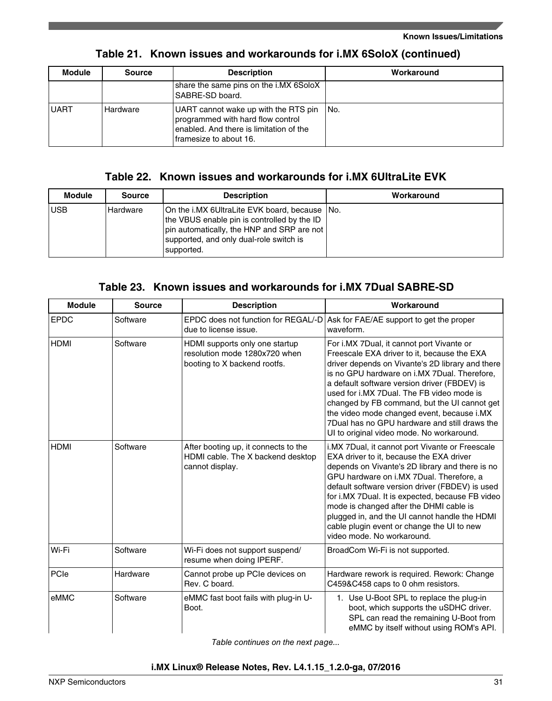| <b>Module</b> | <b>Source</b> | <b>Description</b>                                                                                                                             | Workaround |
|---------------|---------------|------------------------------------------------------------------------------------------------------------------------------------------------|------------|
|               |               | share the same pins on the i.MX 6SoloX<br>SABRE-SD board.                                                                                      |            |
| <b>UART</b>   | Hardware      | UART cannot wake up with the RTS pin<br>programmed with hard flow control<br>enabled. And there is limitation of the<br>framesize to about 16. | ⊥No.       |

### **Table 21. Known issues and workarounds for i.MX 6SoloX (continued)**

### **Table 22. Known issues and workarounds for i.MX 6UltraLite EVK**

| <b>Module</b> | <b>Source</b> | <b>Description</b>                                                                                                                                                                                     | Workaround |
|---------------|---------------|--------------------------------------------------------------------------------------------------------------------------------------------------------------------------------------------------------|------------|
| <b>USB</b>    | Hardware      | On the i.MX 6UltraLite EVK board, because No.<br>the VBUS enable pin is controlled by the ID<br> pin automatically, the HNP and SRP are not  <br>supported, and only dual-role switch is<br>supported. |            |

### **Table 23. Known issues and workarounds for i.MX 7Dual SABRE-SD**

| <b>Module</b> | <b>Source</b> | <b>Description</b>                                                                              | Workaround                                                                                                                                                                                                                                                                                                                                                                                                                                                                            |
|---------------|---------------|-------------------------------------------------------------------------------------------------|---------------------------------------------------------------------------------------------------------------------------------------------------------------------------------------------------------------------------------------------------------------------------------------------------------------------------------------------------------------------------------------------------------------------------------------------------------------------------------------|
| <b>EPDC</b>   | Software      | EPDC does not function for REGAL/-D<br>due to license issue.                                    | Ask for FAE/AE support to get the proper<br>waveform.                                                                                                                                                                                                                                                                                                                                                                                                                                 |
| <b>HDMI</b>   | Software      | HDMI supports only one startup<br>resolution mode 1280x720 when<br>booting to X backend rootfs. | For i.MX 7Dual, it cannot port Vivante or<br>Freescale EXA driver to it, because the EXA<br>driver depends on Vivante's 2D library and there<br>is no GPU hardware on i.MX 7Dual. Therefore,<br>a default software version driver (FBDEV) is<br>used for i.MX 7Dual. The FB video mode is<br>changed by FB command, but the UI cannot get<br>the video mode changed event, because i.MX<br>7Dual has no GPU hardware and still draws the<br>UI to original video mode. No workaround. |
| <b>HDMI</b>   | Software      | After booting up, it connects to the<br>HDMI cable. The X backend desktop<br>cannot display.    | i.MX 7Dual, it cannot port Vivante or Freescale<br>EXA driver to it, because the EXA driver<br>depends on Vivante's 2D library and there is no<br>GPU hardware on i.MX 7Dual. Therefore, a<br>default software version driver (FBDEV) is used<br>for i.MX 7Dual. It is expected, because FB video<br>mode is changed after the DHMI cable is<br>plugged in, and the UI cannot handle the HDMI<br>cable plugin event or change the UI to new<br>video mode. No workaround.             |
| Wi-Fi         | Software      | Wi-Fi does not support suspend/<br>resume when doing IPERF.                                     | BroadCom Wi-Fi is not supported.                                                                                                                                                                                                                                                                                                                                                                                                                                                      |
| PCIe          | Hardware      | Cannot probe up PCIe devices on<br>Rev. C board.                                                | Hardware rework is required. Rework: Change<br>C459&C458 caps to 0 ohm resistors.                                                                                                                                                                                                                                                                                                                                                                                                     |
| eMMC          | Software      | eMMC fast boot fails with plug-in U-<br>Boot.                                                   | 1. Use U-Boot SPL to replace the plug-in<br>boot, which supports the uSDHC driver.<br>SPL can read the remaining U-Boot from<br>eMMC by itself without using ROM's API.                                                                                                                                                                                                                                                                                                               |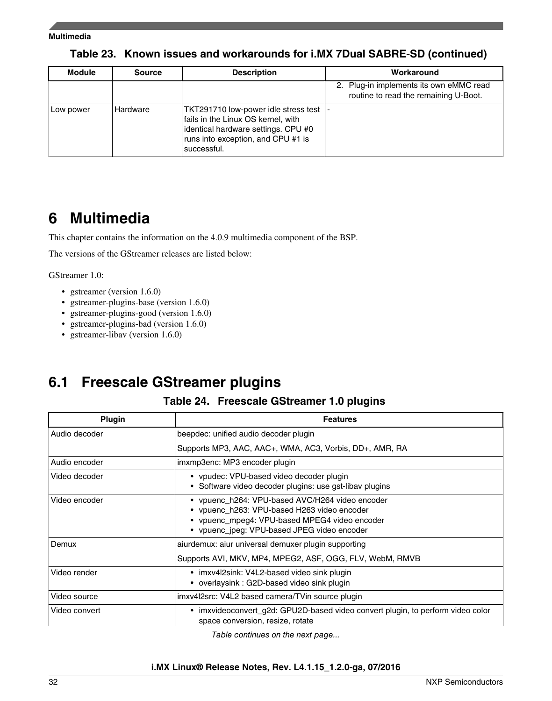#### <span id="page-31-0"></span>**Multimedia**

| <b>Module</b> | <b>Source</b> | <b>Description</b>                                                                                                                                                      | Workaround                                                                       |
|---------------|---------------|-------------------------------------------------------------------------------------------------------------------------------------------------------------------------|----------------------------------------------------------------------------------|
|               |               |                                                                                                                                                                         | 2. Plug-in implements its own eMMC read<br>routine to read the remaining U-Boot. |
| Low power     | Hardware      | TKT291710 low-power idle stress test<br>fails in the Linux OS kernel, with<br>identical hardware settings. CPU #0<br>runs into exception, and CPU #1 is<br>∣successful. |                                                                                  |

### **Table 23. Known issues and workarounds for i.MX 7Dual SABRE-SD (continued)**

## **6 Multimedia**

This chapter contains the information on the 4.0.9 multimedia component of the BSP.

The versions of the GStreamer releases are listed below:

GStreamer 1.0:

- gstreamer (version 1.6.0)
- gstreamer-plugins-base (version 1.6.0)
- gstreamer-plugins-good (version 1.6.0)
- gstreamer-plugins-bad (version 1.6.0)
- gstreamer-libav (version 1.6.0)

## **6.1 Freescale GStreamer plugins**

### **Table 24. Freescale GStreamer 1.0 plugins**

| Plugin        | <b>Features</b>                                                                                                                                                                                |
|---------------|------------------------------------------------------------------------------------------------------------------------------------------------------------------------------------------------|
| Audio decoder | beepdec: unified audio decoder plugin                                                                                                                                                          |
|               | Supports MP3, AAC, AAC+, WMA, AC3, Vorbis, DD+, AMR, RA                                                                                                                                        |
| Audio encoder | imxmp3enc: MP3 encoder plugin                                                                                                                                                                  |
| Video decoder | • vpudec: VPU-based video decoder plugin<br>Software video decoder plugins: use gst-libav plugins                                                                                              |
| Video encoder | • vpuenc_h264: VPU-based AVC/H264 video encoder<br>• vpuenc h263: VPU-based H263 video encoder<br>• vpuenc_mpeg4: VPU-based MPEG4 video encoder<br>• vpuenc jpeg: VPU-based JPEG video encoder |
| Demux         | aiurdemux: aiur universal demuxer plugin supporting<br>Supports AVI, MKV, MP4, MPEG2, ASF, OGG, FLV, WebM, RMVB                                                                                |
| Video render  | • imxv4l2sink: V4L2-based video sink plugin<br>overlaysink: G2D-based video sink plugin                                                                                                        |
| Video source  | imxv4l2src: V4L2 based camera/TVin source plugin                                                                                                                                               |
| Video convert | imxvideoconvert_g2d: GPU2D-based video convert plugin, to perform video color<br>$\bullet$<br>space conversion, resize, rotate                                                                 |

*Table continues on the next page...*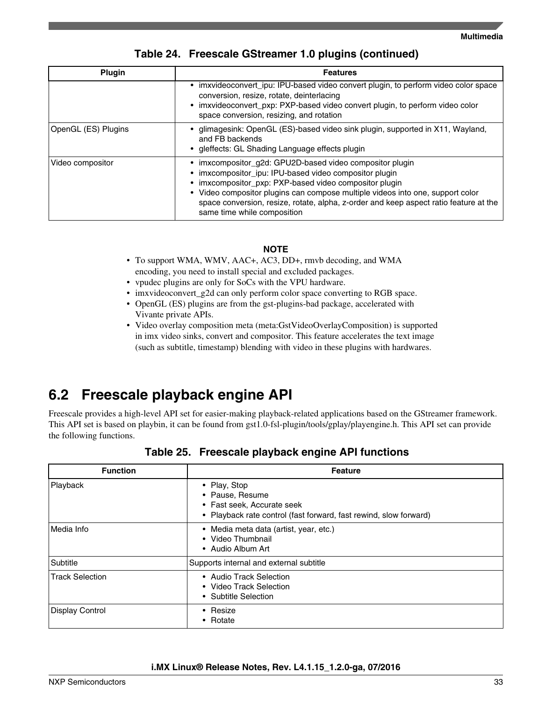| <b>Plugin</b>       | <b>Features</b>                                                                                                                                                                                                                                                                                                                                                                  |
|---------------------|----------------------------------------------------------------------------------------------------------------------------------------------------------------------------------------------------------------------------------------------------------------------------------------------------------------------------------------------------------------------------------|
|                     | imxvideoconvert_ipu: IPU-based video convert plugin, to perform video color space<br>conversion, resize, rotate, deinterlacing<br>• imxvideoconvert_pxp: PXP-based video convert plugin, to perform video color<br>space conversion, resizing, and rotation                                                                                                                      |
| OpenGL (ES) Plugins | glimagesink: OpenGL (ES)-based video sink plugin, supported in X11, Wayland,<br>and FB backends<br>• gleffects: GL Shading Language effects plugin                                                                                                                                                                                                                               |
| Video compositor    | imxcompositor_g2d: GPU2D-based video compositor plugin<br>imxcompositor_ipu: IPU-based video compositor plugin<br>imxcompositor_pxp: PXP-based video compositor plugin<br>• Video compositor plugins can compose multiple videos into one, support color<br>space conversion, resize, rotate, alpha, z-order and keep aspect ratio feature at the<br>same time while composition |

### **Table 24. Freescale GStreamer 1.0 plugins (continued)**

#### **NOTE**

- To support WMA, WMV, AAC+, AC3, DD+, rmvb decoding, and WMA encoding, you need to install special and excluded packages.
- vpudec plugins are only for SoCs with the VPU hardware.
- imxvideoconvert\_g2d can only perform color space converting to RGB space.
- OpenGL (ES) plugins are from the gst-plugins-bad package, accelerated with Vivante private APIs.
- Video overlay composition meta (meta:GstVideoOverlayComposition) is supported in imx video sinks, convert and compositor. This feature accelerates the text image (such as subtitle, timestamp) blending with video in these plugins with hardwares.

## **6.2 Freescale playback engine API**

Freescale provides a high-level API set for easier-making playback-related applications based on the GStreamer framework. This API set is based on playbin, it can be found from gst1.0-fsl-plugin/tools/gplay/playengine.h. This API set can provide the following functions.

| <b>Function</b>        | <b>Feature</b>                                                                                                                     |
|------------------------|------------------------------------------------------------------------------------------------------------------------------------|
| Playback               | • Play, Stop<br>• Pause, Resume<br>• Fast seek, Accurate seek<br>• Playback rate control (fast forward, fast rewind, slow forward) |
| Media Info             | • Media meta data (artist, year, etc.)<br>• Video Thumbnail<br>• Audio Album Art                                                   |
| Subtitle               | Supports internal and external subtitle                                                                                            |
| <b>Track Selection</b> | • Audio Track Selection<br>• Video Track Selection<br>• Subtitle Selection                                                         |
| Display Control        | • Resize<br>• Rotate                                                                                                               |

**Table 25. Freescale playback engine API functions**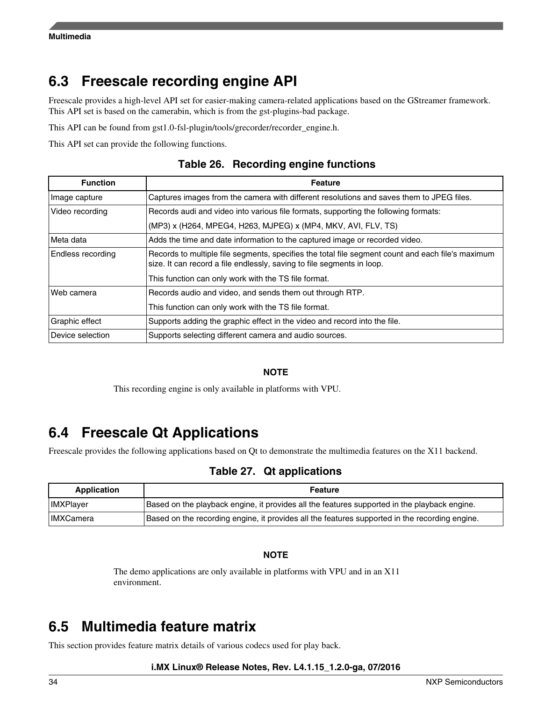## **6.3 Freescale recording engine API**

Freescale provides a high-level API set for easier-making camera-related applications based on the GStreamer framework. This API set is based on the camerabin, which is from the gst-plugins-bad package.

This API can be found from gst1.0-fsl-plugin/tools/grecorder/recorder\_engine.h.

This API set can provide the following functions.

| <b>Function</b>   | <b>Feature</b>                                                                                                                                                              |
|-------------------|-----------------------------------------------------------------------------------------------------------------------------------------------------------------------------|
| Image capture     | Captures images from the camera with different resolutions and saves them to JPEG files.                                                                                    |
| Video recording   | Records audi and video into various file formats, supporting the following formats:                                                                                         |
|                   | (MP3) x (H264, MPEG4, H263, MJPEG) x (MP4, MKV, AVI, FLV, TS)                                                                                                               |
| Meta data         | Adds the time and date information to the captured image or recorded video.                                                                                                 |
| Endless recording | Records to multiple file segments, specifies the total file segment count and each file's maximum<br>size. It can record a file endlessly, saving to file segments in loop. |
|                   | This function can only work with the TS file format.                                                                                                                        |
| Web camera        | Records audio and video, and sends them out through RTP.                                                                                                                    |
|                   | This function can only work with the TS file format.                                                                                                                        |
| Graphic effect    | Supports adding the graphic effect in the video and record into the file.                                                                                                   |
| Device selection  | Supports selecting different camera and audio sources.                                                                                                                      |

**Table 26. Recording engine functions**

#### **NOTE**

This recording engine is only available in platforms with VPU.

## **6.4 Freescale Qt Applications**

Freescale provides the following applications based on Qt to demonstrate the multimedia features on the X11 backend.

### **Table 27. Qt applications**

| Application      | <b>Feature</b>                                                                                 |  |  |  |
|------------------|------------------------------------------------------------------------------------------------|--|--|--|
| <b>IMXPlayer</b> | Based on the playback engine, it provides all the features supported in the playback engine.   |  |  |  |
| <b>IMXCamera</b> | Based on the recording engine, it provides all the features supported in the recording engine. |  |  |  |

#### **NOTE**

The demo applications are only available in platforms with VPU and in an X11 environment.

## **6.5 Multimedia feature matrix**

This section provides feature matrix details of various codecs used for play back.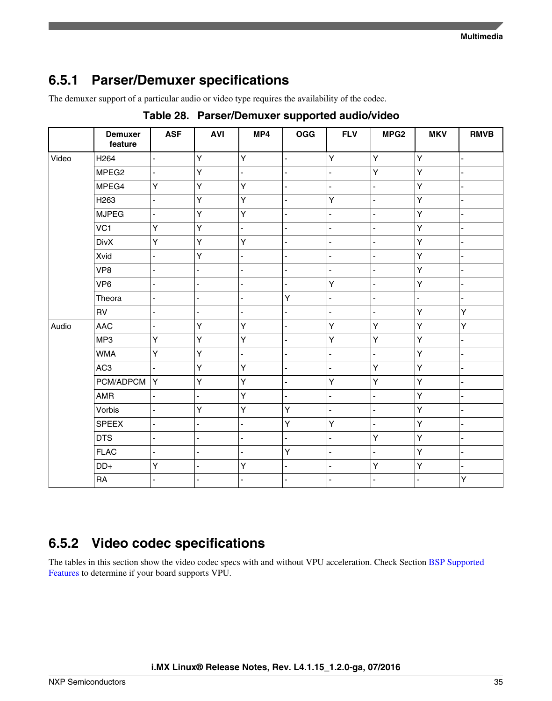## **6.5.1 Parser/Demuxer specifications**

The demuxer support of a particular audio or video type requires the availability of the codec.

|       | <b>Demuxer</b><br>feature | <b>ASF</b>     | <b>AVI</b>                   | MP4            | <b>OGG</b>     | <b>FLV</b>     | MPG <sub>2</sub> | <b>MKV</b> | <b>RMVB</b>              |
|-------|---------------------------|----------------|------------------------------|----------------|----------------|----------------|------------------|------------|--------------------------|
| Video | H <sub>264</sub>          | ä,             | Y                            | Y              | ä,             | Ÿ              | Y                | Y          | L                        |
|       | MPEG <sub>2</sub>         | ä,             | Y                            | ÷,             | ä,             | ÷,             | Y                | Y          | $\overline{a}$           |
|       | MPEG4                     | Y              | Y                            | Υ              |                | L.             | $\overline{a}$   | Y          | $\overline{a}$           |
|       | H <sub>263</sub>          | ÷,             | Υ                            | Υ              | ä,             | Υ              | ä,               | Υ          | $\overline{a}$           |
|       | <b>MJPEG</b>              | ä,             | Y                            | Υ              | ä,             | $\overline{a}$ | $\overline{a}$   | Y          | ÷,                       |
|       | VC1                       | Y              | Y                            | ÷.             | ä,             | $\blacksquare$ | L,               | Υ          | $\overline{\phantom{0}}$ |
|       | <b>DivX</b>               | Y              | Y                            | Y              | $\overline{a}$ | ÷.             |                  | Υ          | $\overline{a}$           |
|       | Xvid                      | $\blacksquare$ | Y                            | $\blacksquare$ | $\overline{a}$ | $\blacksquare$ | ä,               | Y          | ä,                       |
|       | VP8                       | $\overline{a}$ | $\overline{a}$               | ä,             | ä,             | L.             |                  | Y          | $\overline{a}$           |
|       | VP <sub>6</sub>           | $\blacksquare$ | $\blacksquare$               | ä,             | $\overline{a}$ | Y              | ÷,               | Y          | ä,                       |
|       | Theora                    | L,             | ä,                           | ÷,             | Υ              | $\overline{a}$ | ÷,               | ÷,         |                          |
|       | RV                        | ä,             | $\overline{a}$               | ä,             | ä,             | ÷,             | L,               | Υ          | Υ                        |
| Audio | <b>AAC</b>                | $\blacksquare$ | Υ                            | Υ              | ä,             | Υ              | Υ                | Υ          | Υ                        |
|       | MP3                       | Y              | Y                            | Υ              | ä,             | Υ              | Υ                | Υ          | ÷,                       |
|       | <b>WMA</b>                | Y              | Y                            | ÷.             | $\overline{a}$ | $\overline{a}$ | L.               | Υ          | ä,                       |
|       | AC <sub>3</sub>           | ä,             | Y                            | Y              | $\blacksquare$ | ÷,             | Y                | Y          | ÷,                       |
|       | PCM/ADPCM                 | İΥ.            | Y                            | Y              | ä,             | Υ              | Y                | Y          | $\overline{a}$           |
|       | AMR                       | $\mathbf{r}$   | ÷,                           | Y              | ä,             | L.             | $\overline{a}$   | Y          | $\overline{a}$           |
|       | Vorbis                    | ÷,             | Υ                            | Υ              | Υ              | $\overline{a}$ |                  | Y          | L                        |
|       | <b>SPEEX</b>              | $\mathbb{Z}^2$ | $\overline{a}$               | ÷.             | Υ              | Υ              | ä,               | Υ          | ä,                       |
|       | <b>DTS</b>                | ÷,             | $\overline{a}$               | ÷.             | $\frac{1}{2}$  | ÷,             | Υ                | Υ          | ÷,                       |
|       | <b>FLAC</b>               | $\blacksquare$ | $\blacksquare$               | ä,             | Υ              | ä,             | L,               | Υ          | ÷,                       |
|       | $DD+$                     | Υ              | ä,                           | Υ              | ä,             | L.             | Υ                | Υ          | ÷,                       |
|       | RA                        | ä,             | $\qquad \qquad \blacksquare$ | ٠              |                | $\blacksquare$ |                  | ٠          | Υ                        |

### **Table 28. Parser/Demuxer supported audio/video**

## **6.5.2 Video codec specifications**

The tables in this section show the video codec specs with and without VPU acceleration. Check Section [BSP Supported](#page-13-0) [Features](#page-13-0) to determine if your board supports VPU.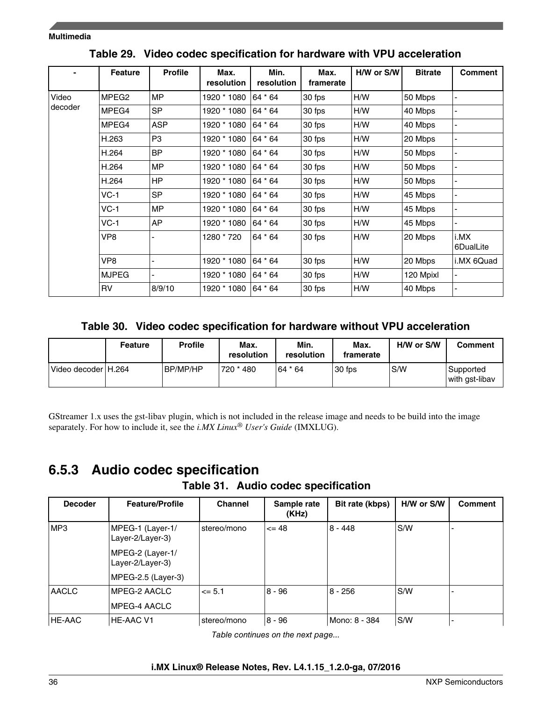|         | <b>Feature</b>    | <b>Profile</b> | Max.<br>resolution | Min.<br>resolution | Max.<br>framerate | H/W or S/W | <b>Bitrate</b> | <b>Comment</b>    |
|---------|-------------------|----------------|--------------------|--------------------|-------------------|------------|----------------|-------------------|
| Video   | MPEG <sub>2</sub> | <b>MP</b>      | 1920 * 1080        | 64 * 64            | 30 fps            | H/W        | 50 Mbps        |                   |
| decoder | MPEG4             | <b>SP</b>      | 1920 * 1080        | 64 * 64            | 30 fps            | H/W        | 40 Mbps        |                   |
|         | MPEG4             | <b>ASP</b>     | 1920 * 1080        | 64 * 64            | 30 fps            | H/W        | 40 Mbps        |                   |
|         | H.263             | P <sub>3</sub> | 1920 * 1080        | 64 * 64            | 30 fps            | H/W        | 20 Mbps        |                   |
|         | H.264             | <b>BP</b>      | 1920 * 1080        | 64 * 64            | 30 fps            | H/W        | 50 Mbps        |                   |
|         | H.264             | <b>MP</b>      | 1920 * 1080        | 64 * 64            | 30 fps            | H/W        | 50 Mbps        |                   |
|         | H.264             | <b>HP</b>      | 1920 * 1080        | 64 * 64            | 30 fps            | H/W        | 50 Mbps        |                   |
|         | $VC-1$            | <b>SP</b>      | 1920 * 1080        | 64 * 64            | 30 fps            | H/W        | 45 Mbps        | ۰                 |
|         | $VC-1$            | <b>MP</b>      | 1920 * 1080        | 64 * 64            | 30 fps            | H/W        | 45 Mbps        |                   |
|         | $VC-1$            | AP             | 1920 * 1080        | 64 * 64            | 30 fps            | H/W        | 45 Mbps        |                   |
|         | VP8               |                | 1280 * 720         | 64 * 64            | 30 fps            | H/W        | 20 Mbps        | i.MX<br>6DualLite |
|         | VP8               |                | 1920 * 1080        | 64 * 64            | 30 fps            | H/W        | 20 Mbps        | i.MX 6Quad        |
|         | <b>MJPEG</b>      |                | 1920 * 1080        | 64 * 64            | 30 fps            | H/W        | 120 Mpixl      |                   |
|         | <b>RV</b>         | 8/9/10         | 1920 * 1080        | 64 * 64            | 30 fps            | H/W        | 40 Mbps        |                   |

**Table 29. Video codec specification for hardware with VPU acceleration**

**Table 30. Video codec specification for hardware without VPU acceleration**

|                     | <b>Feature</b> | <b>Profile</b> | Max.<br>resolution | Min.<br>resolution | Max.<br>framerate | H/W or S/W | <b>Comment</b>              |
|---------------------|----------------|----------------|--------------------|--------------------|-------------------|------------|-----------------------------|
| Video decoder H.264 |                | BP/MP/HP       | 720 * 480          | 64 * 64            | 30 fps            | S/W        | Supported<br>with gst-libav |

GStreamer 1.x uses the gst-libav plugin, which is not included in the release image and needs to be build into the image separately. For how to include it, see the *i.MX Linux® User's Guide* (IMXLUG).

## **6.5.3 Audio codec specification**

|  |  |  | Table 31. Audio codec specification |
|--|--|--|-------------------------------------|
|--|--|--|-------------------------------------|

| <b>Decoder</b> | <b>Feature/Profile</b>               | <b>Channel</b> | Sample rate<br>(KHz) | Bit rate (kbps) | H/W or S/W | <b>Comment</b> |
|----------------|--------------------------------------|----------------|----------------------|-----------------|------------|----------------|
| IMP3           | MPEG-1 (Layer-1/<br>Layer-2/Layer-3) | stereo/mono    | $\leq$ 48            | $8 - 448$       | l S/W      |                |
|                | MPEG-2 (Layer-1/<br>Layer-2/Layer-3) |                |                      |                 |            |                |
|                | MPEG-2.5 (Layer-3)                   |                |                      |                 |            |                |
| <b>AACLC</b>   | MPEG-2 AACLC                         | $\leq$ 5.1     | $8 - 96$             | $8 - 256$       | l S/W      |                |
|                | <b>MPEG-4 AACLC</b>                  |                |                      |                 |            |                |
| HE-AAC         | <b>HE-AAC V1</b>                     | stereo/mono    | 8 - 96               | Mono: 8 - 384   | l S/W      |                |

*Table continues on the next page...*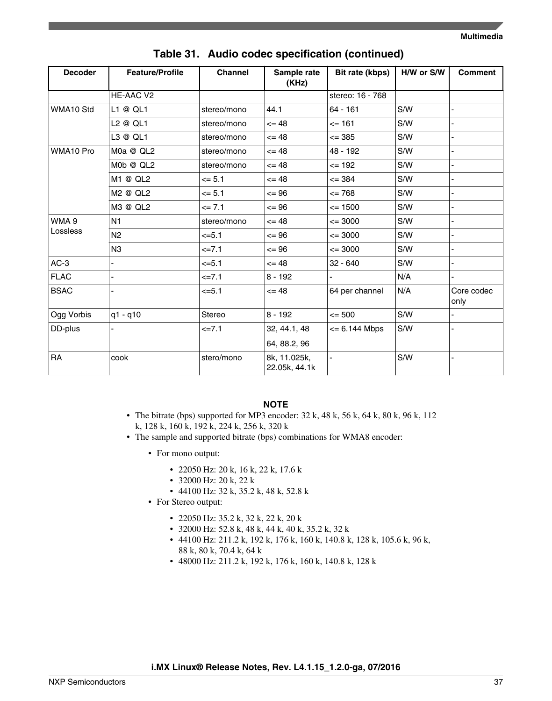| <b>Decoder</b> | <b>Feature/Profile</b> | <b>Channel</b> | Sample rate<br>(KHz)          | Bit rate (kbps)  | H/W or S/W | <b>Comment</b>     |
|----------------|------------------------|----------------|-------------------------------|------------------|------------|--------------------|
|                | HE-AAC V2              |                |                               | stereo: 16 - 768 |            |                    |
| WMA10 Std      | L1@QLI                 | stereo/mono    | 44.1                          | $64 - 161$       | S/W        |                    |
|                | L2 @ QL1               | stereo/mono    | $= 48$                        | $= 161$          | S/W        |                    |
|                | L3 @ QL1               | stereo/mono    | $= 48$                        | $\leq$ 385       | S/W        |                    |
| WMA10 Pro      | M0a @ QL2              | stereo/mono    | $= 48$                        | 48 - 192         | S/W        |                    |
|                | M0b @ QL2              | stereo/mono    | $= 48$                        | $\leq$ 192       | S/W        |                    |
|                | M1 @ QL2               | $= 5.1$        | $= 48$                        | $\leq$ 384       | S/W        |                    |
|                | M2 @ QL2               | $= 5.1$        | $= 96$                        | $= 768$          | S/W        |                    |
|                | M3 @ QL2               | $= 7.1$        | $= 96$                        | $\leq$ 1500      | S/W        | ÷,                 |
| WMA 9          | N <sub>1</sub>         | stereo/mono    | $= 48$                        | $\leq$ 3000      | S/W        |                    |
| Lossless       | N <sub>2</sub>         | $= 5.1$        | $= 96$                        | $\leq$ 3000      | S/W        |                    |
|                | N3                     | $=7.1$         | $= 96$                        | $\leq$ 3000      | S/W        |                    |
| $AC-3$         |                        | $5 - 5.1$      | $= 48$                        | $32 - 640$       | S/W        |                    |
| <b>FLAC</b>    |                        | $=7.1$         | $8 - 192$                     |                  | N/A        |                    |
| <b>BSAC</b>    |                        | $= 5.1$        | $= 48$                        | 64 per channel   | N/A        | Core codec<br>only |
| Ogg Vorbis     | $q1 - q10$             | Stereo         | $8 - 192$                     | $\leq$ 500       | S/W        |                    |
| DD-plus        |                        | $=7.1$         | 32, 44.1, 48                  | $= 6.144$ Mbps   | S/W        |                    |
|                |                        |                | 64, 88.2, 96                  |                  |            |                    |
| RA             | cook                   | stero/mono     | 8k, 11.025k,<br>22.05k, 44.1k |                  | S/W        |                    |

### **Table 31. Audio codec specification (continued)**

#### **NOTE**

- The bitrate (bps) supported for MP3 encoder: 32 k, 48 k, 56 k, 64 k, 80 k, 96 k, 112 k, 128 k, 160 k, 192 k, 224 k, 256 k, 320 k
- The sample and supported bitrate (bps) combinations for WMA8 encoder:
	- For mono output:
		- 22050 Hz: 20 k, 16 k, 22 k, 17.6 k
		- 32000 Hz: 20 k, 22 k
		- 44100 Hz: 32 k, 35.2 k, 48 k, 52.8 k
	- For Stereo output:
		- 22050 Hz: 35.2 k, 32 k, 22 k, 20 k
		- 32000 Hz: 52.8 k, 48 k, 44 k, 40 k, 35.2 k, 32 k
		- 44100 Hz: 211.2 k, 192 k, 176 k, 160 k, 140.8 k, 128 k, 105.6 k, 96 k, 88 k, 80 k, 70.4 k, 64 k
		- 48000 Hz: 211.2 k, 192 k, 176 k, 160 k, 140.8 k, 128 k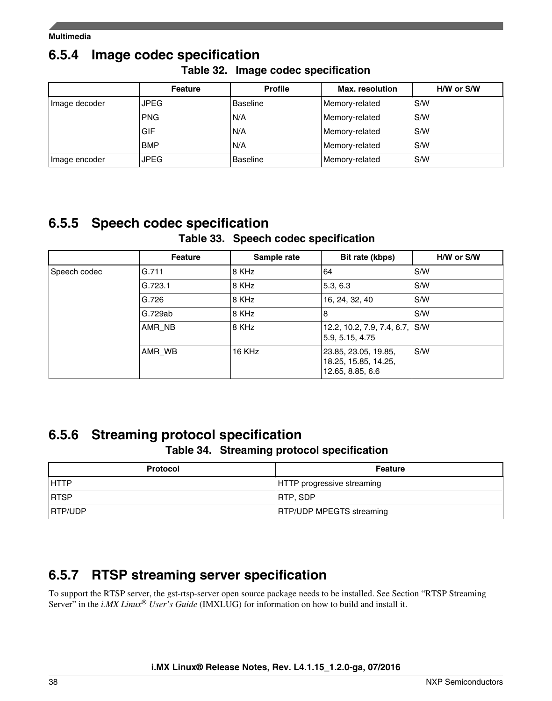## **6.5.4 Image codec specification**

|  | Table 32. Image codec specification |  |
|--|-------------------------------------|--|
|--|-------------------------------------|--|

|               | <b>Feature</b> | <b>Profile</b> | <b>Max.</b> resolution | H/W or S/W |
|---------------|----------------|----------------|------------------------|------------|
| Image decoder | <b>JPEG</b>    | Baseline       | Memory-related         | S/W        |
|               | PNG            | IN/A           | Memory-related         | S/W        |
|               | GIF            | N/A            | Memory-related         | S/W        |
|               | <b>BMP</b>     | N/A            | Memory-related         | S/W        |
| Image encoder | <b>JPEG</b>    | Baseline       | Memory-related         | S/W        |

## **6.5.5 Speech codec specification**

### **Table 33. Speech codec specification**

|              | <b>Feature</b> | Sample rate | Bit rate (kbps)                                                  | H/W or S/W |
|--------------|----------------|-------------|------------------------------------------------------------------|------------|
| Speech codec | G.711          | 8 KHz       | 64                                                               | S/W        |
|              | G.723.1        | 8 KHz       | 5.3, 6.3                                                         | S/W        |
|              | G.726          | 8 KHz       | 16, 24, 32, 40                                                   | S/W        |
|              | G.729ab        | 8 KHz       | 8                                                                | S/W        |
|              | AMR NB         | 8 KHz       | 12.2, 10.2, 7.9, 7.4, 6.7, S/W<br>5.9, 5.15, 4.75                |            |
|              | AMR WB         | 16 KHz      | 23.85, 23.05, 19.85,<br>18.25, 15.85, 14.25,<br>12.65, 8.85, 6.6 | S/W        |

## **6.5.6 Streaming protocol specification**

### **Table 34. Streaming protocol specification**

| <b>Protocol</b> | Feature                           |
|-----------------|-----------------------------------|
| <b>HTTP</b>     | <b>HTTP</b> progressive streaming |
| <b>IRTSP</b>    | <b>IRTP, SDP</b>                  |
| <b>RTP/UDP</b>  | <b>RTP/UDP MPEGTS streaming</b>   |

## **6.5.7 RTSP streaming server specification**

To support the RTSP server, the gst-rtsp-server open source package needs to be installed. See Section "RTSP Streaming Server" in the *i.MX Linux® User's Guide* (IMXLUG) for information on how to build and install it.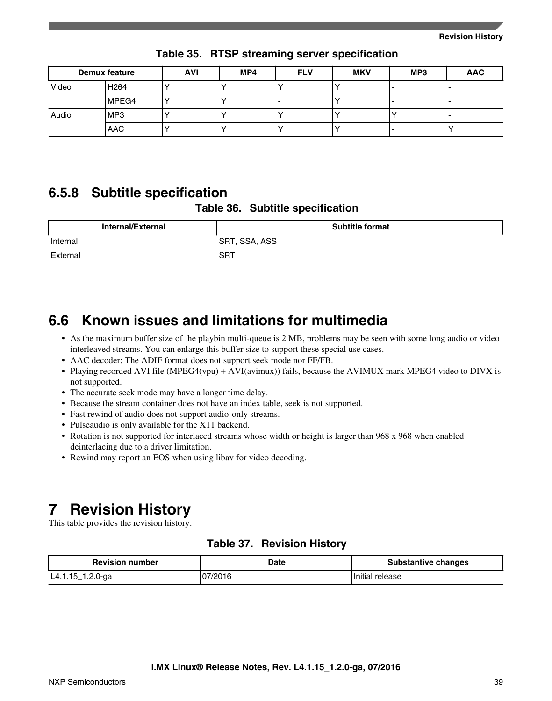<span id="page-38-0"></span>

|       | Demux feature    | <b>AVI</b> | MP4 | <b>FLV</b> | <b>MKV</b> | MP3 | <b>AAC</b> |
|-------|------------------|------------|-----|------------|------------|-----|------------|
| Video | H <sub>264</sub> |            |     |            |            |     | -          |
|       | MPEG4            |            |     |            |            |     | -          |
| Audio | IMP3             |            |     |            |            |     | -          |
|       | <b>AAC</b>       |            |     |            |            |     |            |

**Table 35. RTSP streaming server specification**

## **6.5.8 Subtitle specification**

#### **Table 36. Subtitle specification**

| Internal/External | <b>Subtitle format</b> |  |  |
|-------------------|------------------------|--|--|
| Internal          | SRT, SSA, ASS          |  |  |
| External          | <b>SRT</b>             |  |  |

## **6.6 Known issues and limitations for multimedia**

- As the maximum buffer size of the playbin multi-queue is 2 MB, problems may be seen with some long audio or video interleaved streams. You can enlarge this buffer size to support these special use cases.
- AAC decoder: The ADIF format does not support seek mode nor FF/FB.
- Playing recorded AVI file (MPEG4(vpu) + AVI(avimux)) fails, because the AVIMUX mark MPEG4 video to DIVX is not supported.
- The accurate seek mode may have a longer time delay.
- Because the stream container does not have an index table, seek is not supported.
- Fast rewind of audio does not support audio-only streams.
- Pulseaudio is only available for the X11 backend.
- Rotation is not supported for interlaced streams whose width or height is larger than 968 x 968 when enabled deinterlacing due to a driver limitation.
- Rewind may report an EOS when using libav for video decoding.

## **7 Revision History**

This table provides the revision history.

| <b>Revision number</b>            | Date | <b>Substantive changes</b> |
|-----------------------------------|------|----------------------------|
| .2.0-ga<br>$14.1.15$ _ $1.4.7100$ |      | Initial release            |